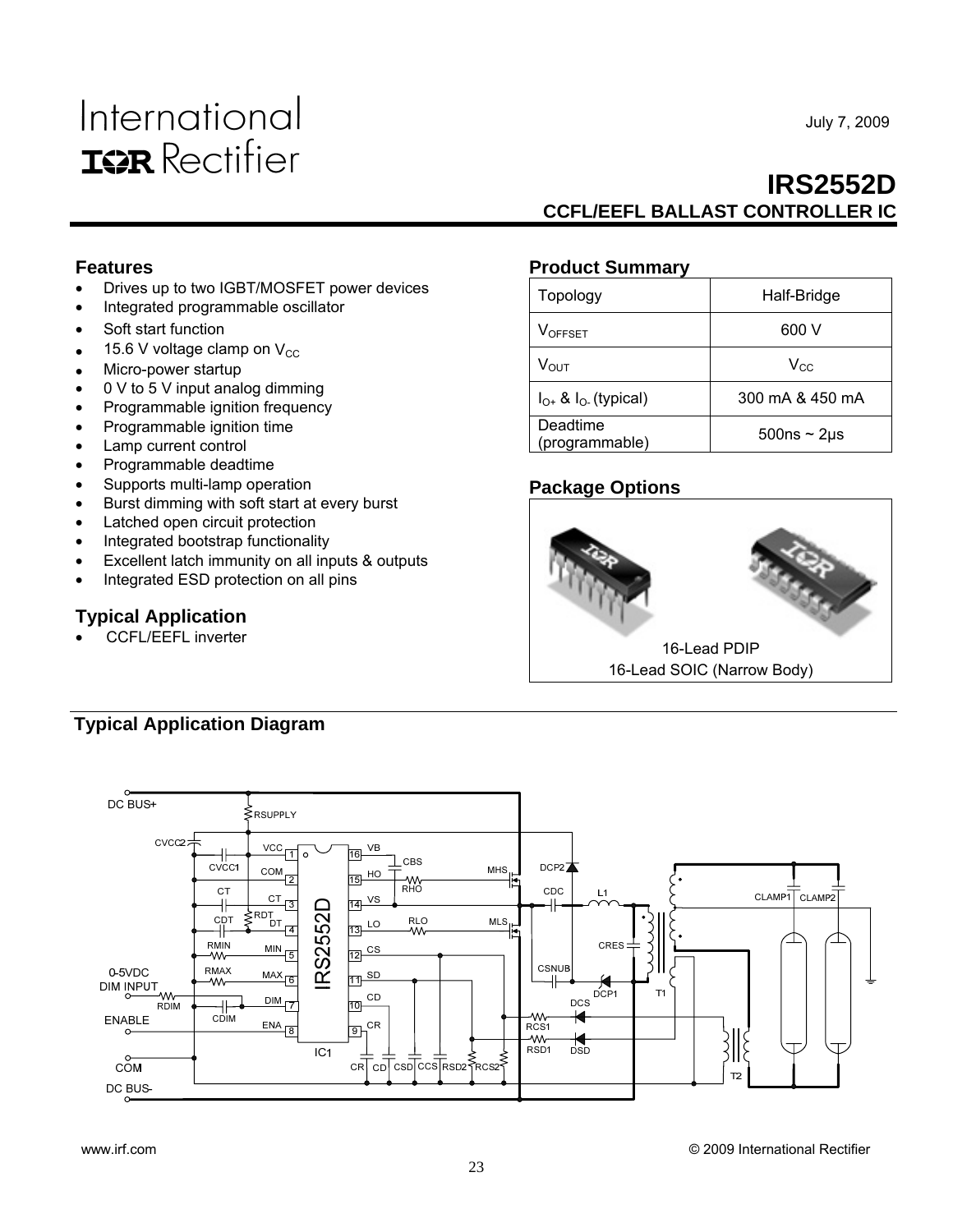# International **IGR** Rectifier

July 7, 2009

# **IRS2552D CCFL/EEFL BALLAST CONTROLLER IC**

## **Features**

- Drives up to two IGBT/MOSFET power devices
- Integrated programmable oscillator
- Soft start function
- 15.6 V voltage clamp on  $V_{CC}$
- Micro-power startup
- 0 V to 5 V input analog dimming
- Programmable ignition frequency
- Programmable ignition time
- Lamp current control
- Programmable deadtime
- Supports multi-lamp operation
- Burst dimming with soft start at every burst
- Latched open circuit protection
- Integrated bootstrap functionality
- Excellent latch immunity on all inputs & outputs
- Integrated ESD protection on all pins

### **Typical Application**

• CCFL/EEFL inverter

### **Product Summary**

| Topology                      | Half-Bridge         |
|-------------------------------|---------------------|
| <b>VOFFSET</b>                | 600 V               |
| $V_{\text{OUT}}$              | $V_{CC}$            |
| $I_{O+}$ & $I_{O-}$ (typical) | 300 mA & 450 mA     |
| Deadtime<br>(programmable)    | $500ns \sim 2\mu s$ |

## **Package Options**



# **Typical Application Diagram**

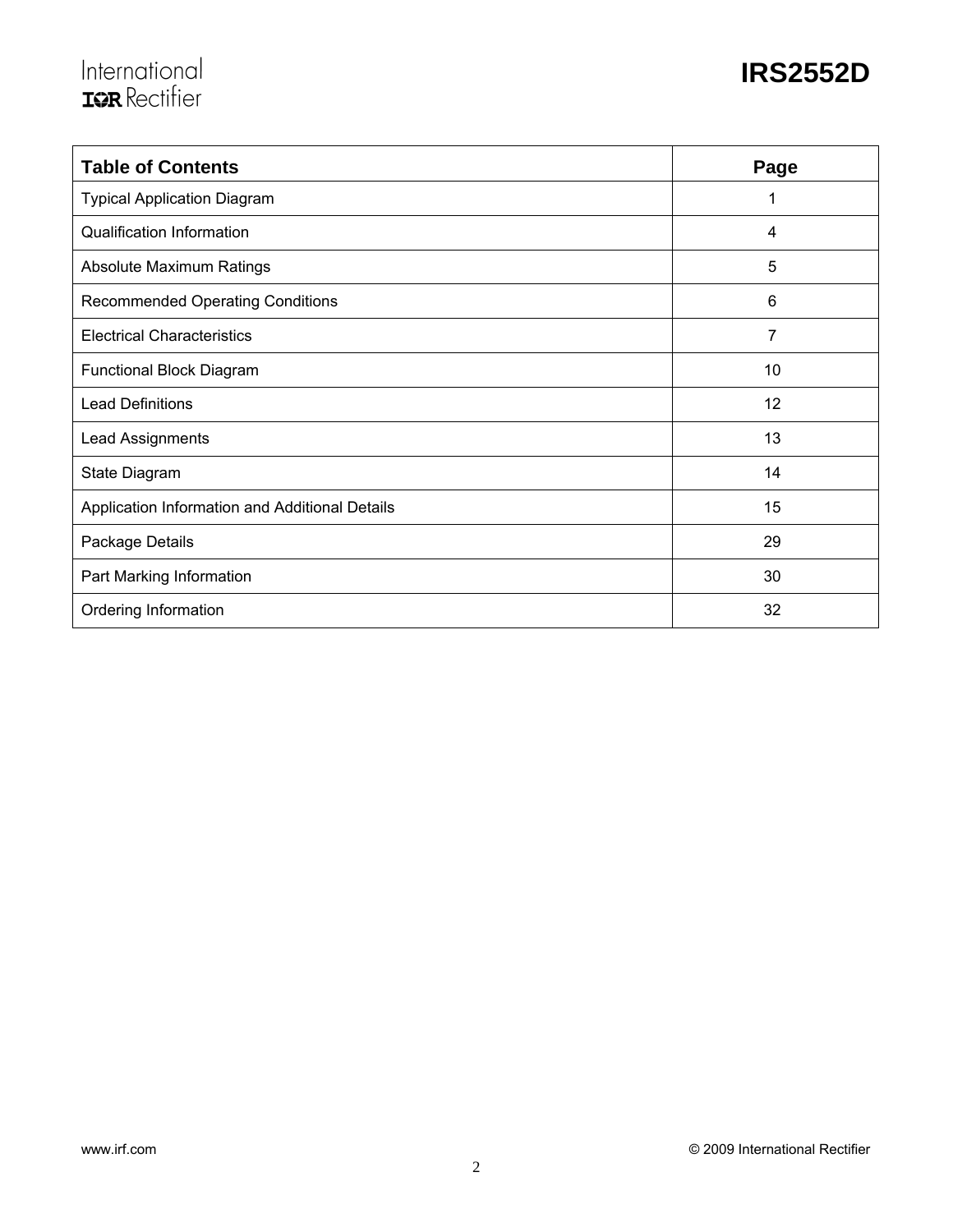# International<br>Tarkectifier

| <b>Table of Contents</b>                       | Page           |
|------------------------------------------------|----------------|
| <b>Typical Application Diagram</b>             | 1              |
| <b>Qualification Information</b>               | $\overline{4}$ |
| Absolute Maximum Ratings                       | 5              |
| <b>Recommended Operating Conditions</b>        | 6              |
| <b>Electrical Characteristics</b>              | 7              |
| Functional Block Diagram                       | 10             |
| <b>Lead Definitions</b>                        | 12             |
| Lead Assignments                               | 13             |
| State Diagram                                  | 14             |
| Application Information and Additional Details | 15             |
| Package Details                                | 29             |
| Part Marking Information                       | 30             |
| Ordering Information                           | 32             |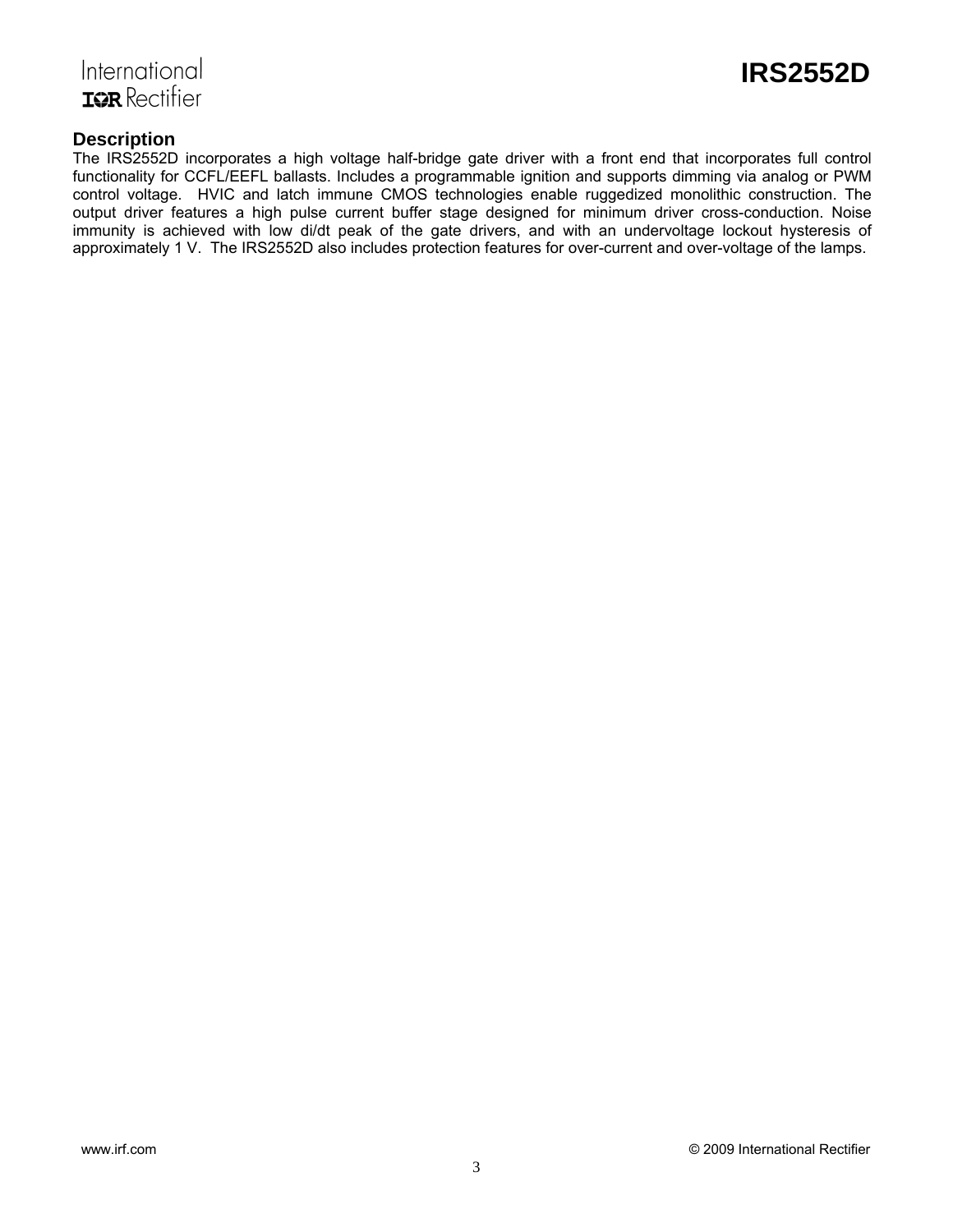



### **Description**

The IRS2552D incorporates a high voltage half-bridge gate driver with a front end that incorporates full control functionality for CCFL/EEFL ballasts. Includes a programmable ignition and supports dimming via analog or PWM control voltage. HVIC and latch immune CMOS technologies enable ruggedized monolithic construction. The output driver features a high pulse current buffer stage designed for minimum driver cross-conduction. Noise immunity is achieved with low di/dt peak of the gate drivers, and with an undervoltage lockout hysteresis of approximately 1 V. The IRS2552D also includes protection features for over-current and over-voltage of the lamps.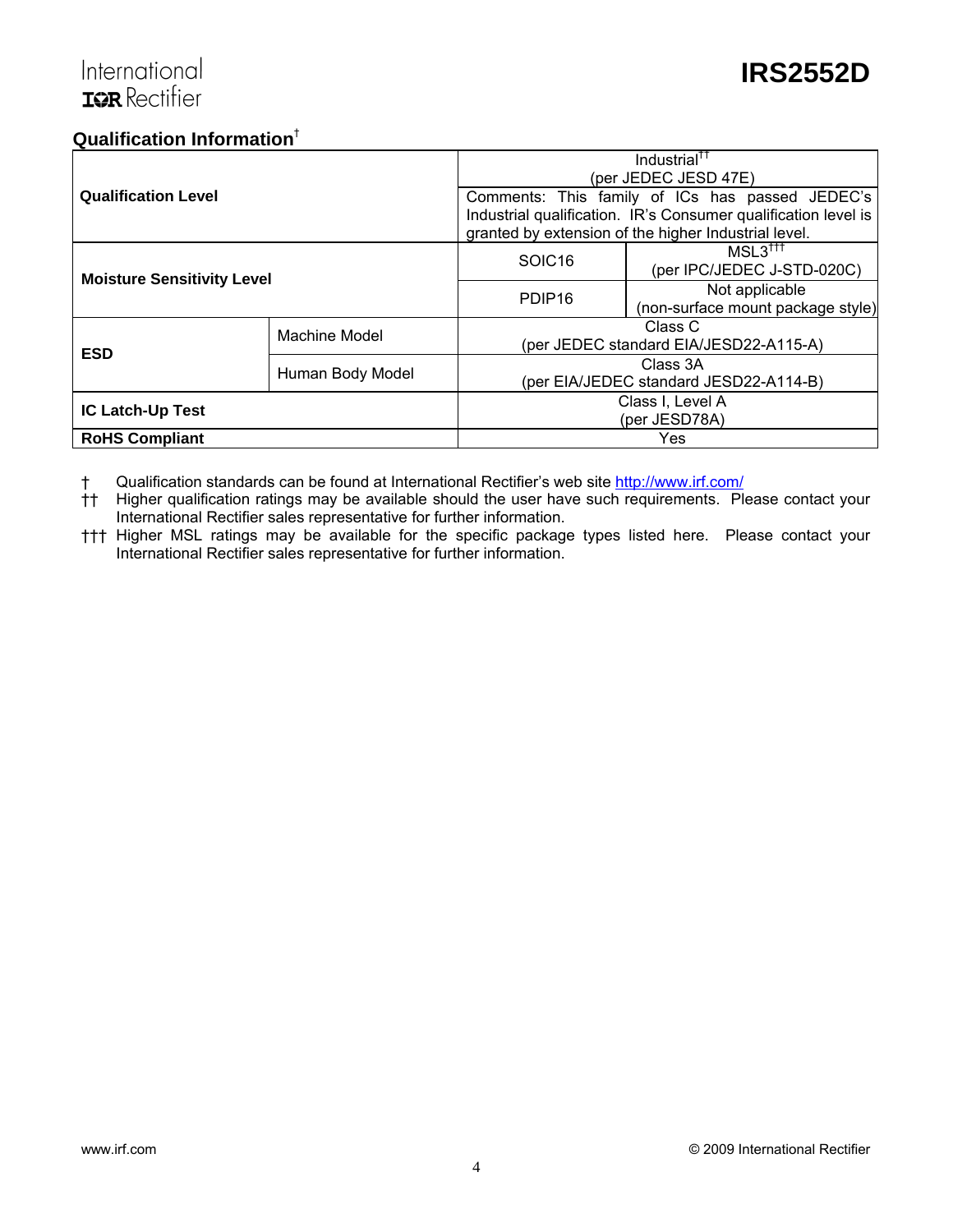## **Qualification Information**†

|                                   |               | Industrial <sup>††</sup>               |                                                                |  |  |
|-----------------------------------|---------------|----------------------------------------|----------------------------------------------------------------|--|--|
|                                   |               | (per JEDEC JESD 47E)                   |                                                                |  |  |
| <b>Qualification Level</b>        |               |                                        | Comments: This family of ICs has passed JEDEC's                |  |  |
|                                   |               |                                        | Industrial qualification. IR's Consumer qualification level is |  |  |
|                                   |               |                                        | granted by extension of the higher Industrial level.           |  |  |
|                                   |               | SOIC <sub>16</sub>                     | $MSL3^{\dagger\dagger\dagger}$                                 |  |  |
| <b>Moisture Sensitivity Level</b> |               |                                        | (per IPC/JEDEC J-STD-020C)                                     |  |  |
|                                   |               | PDIP <sub>16</sub>                     | Not applicable                                                 |  |  |
|                                   |               |                                        | (non-surface mount package style)                              |  |  |
|                                   | Machine Model | Class C                                |                                                                |  |  |
| <b>ESD</b>                        |               | (per JEDEC standard EIA/JESD22-A115-A) |                                                                |  |  |
|                                   |               | Class 3A                               |                                                                |  |  |
| Human Body Model                  |               | (per EIA/JEDEC standard JESD22-A114-B) |                                                                |  |  |
| <b>IC Latch-Up Test</b>           |               | Class I, Level A                       |                                                                |  |  |
|                                   |               | (per JESD78A)                          |                                                                |  |  |
| <b>RoHS Compliant</b>             |               |                                        | Yes                                                            |  |  |

† Qualification standards can be found at International Rectifier's web site http://www.irf.com/

†† Higher qualification ratings may be available should the user have such requirements. Please contact your International Rectifier sales representative for further information.

††† Higher MSL ratings may be available for the specific package types listed here. Please contact your International Rectifier sales representative for further information.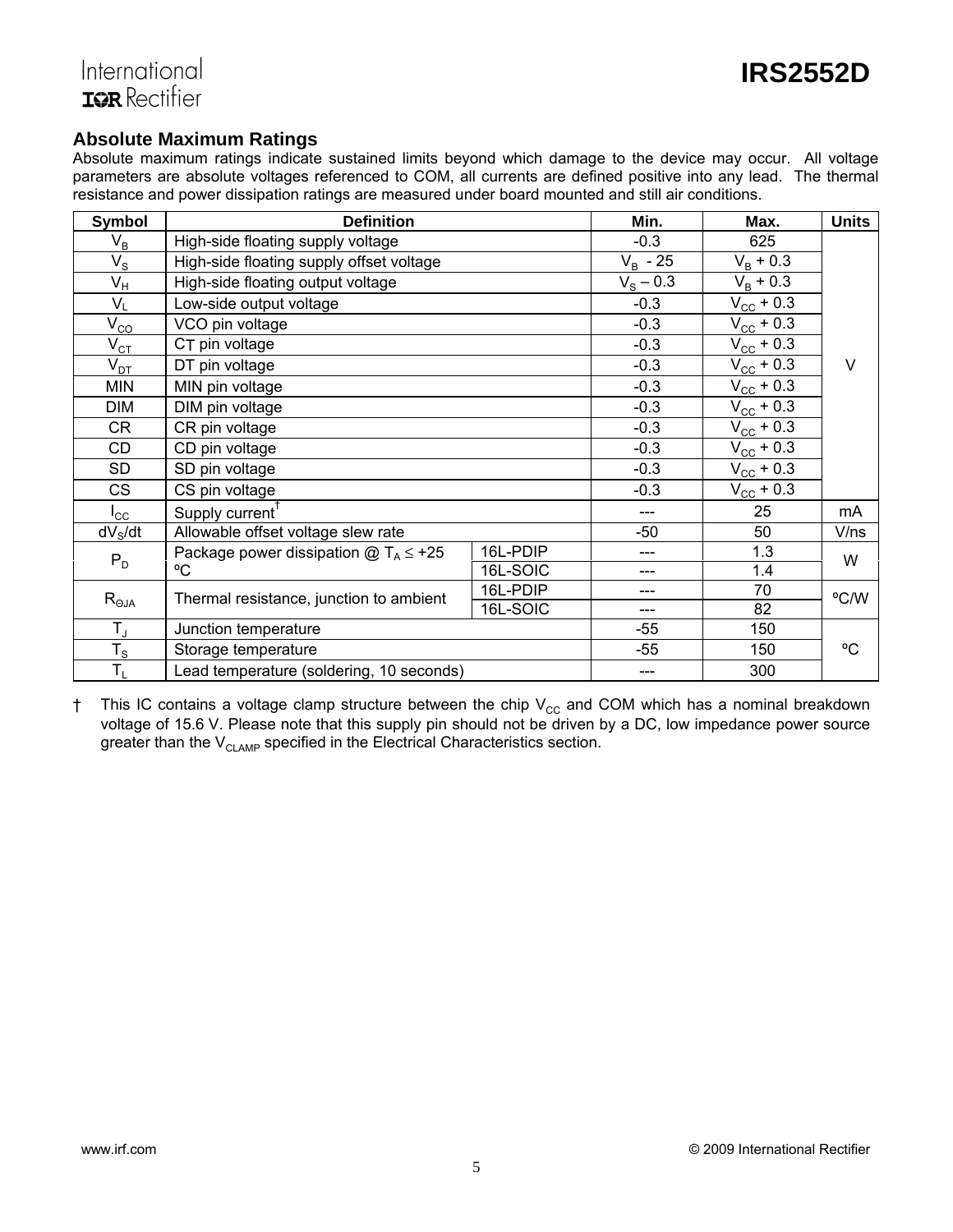### **Absolute Maximum Ratings**

Absolute maximum ratings indicate sustained limits beyond which damage to the device may occur. All voltage parameters are absolute voltages referenced to COM, all currents are defined positive into any lead. The thermal resistance and power dissipation ratings are measured under board mounted and still air conditions.

| <b>Symbol</b>           | <b>Definition</b>                                                                  |          | Min.              | Max.                  | <b>Units</b> |
|-------------------------|------------------------------------------------------------------------------------|----------|-------------------|-----------------------|--------------|
| $V_B$                   | High-side floating supply voltage                                                  |          | $-0.3$            | 625                   |              |
| $V_{\rm S}$             | High-side floating supply offset voltage                                           |          | $V_R$ - 25        | $V_{\rm B}$ + 0.3     |              |
| $\mathsf{V}_\mathsf{H}$ | High-side floating output voltage                                                  |          | $V_{\rm s} - 0.3$ | $V_{B}$ + 0.3         |              |
| $V_L$                   | Low-side output voltage                                                            |          | $-0.3$            | $V_{\rm CC}$ + 0.3    |              |
| $V_{CO}$                | VCO pin voltage                                                                    |          | $-0.3$            | $V_{\text{CC}} + 0.3$ |              |
| $V_{CT}$                | C <sub>T</sub> pin voltage                                                         |          | $-0.3$            | $V_{\rm CC}$ + 0.3    |              |
| $V_{DT}$                | DT pin voltage                                                                     |          | $-0.3$            | $V_{\text{CC}} + 0.3$ | $\vee$       |
| <b>MIN</b>              | MIN pin voltage                                                                    |          | $-0.3$            | $V_{\rm CC}$ + 0.3    |              |
| <b>DIM</b>              | DIM pin voltage                                                                    |          | $-0.3$            | $V_{\text{CC}} + 0.3$ |              |
| CR                      | CR pin voltage                                                                     |          | $-0.3$            | $V_{\rm CC}$ + 0.3    |              |
| CD                      | CD pin voltage                                                                     |          | $-0.3$            | $V_{\text{CC}} + 0.3$ |              |
| SD                      | SD pin voltage                                                                     |          | $-0.3$            | $V_{\text{CC}}$ + 0.3 |              |
| <b>CS</b>               | CS pin voltage                                                                     |          | $-0.3$            | $V_{\rm CC}$ + 0.3    |              |
| $I_{\rm CC}$            | Supply current                                                                     |          | ---               | 25                    | mA           |
| dV <sub>S</sub> /dt     | Allowable offset voltage slew rate                                                 |          | -50               | 50                    | V/ns         |
| $P_D$                   | Package power dissipation $@T_A \leq +25$                                          | 16L-PDIP | ---               | 1.3                   | W            |
|                         | °C<br>16L-SOIC                                                                     |          | ---               | 1.4                   |              |
|                         | 16L-PDIP<br>$R_{\Theta JA}$<br>Thermal resistance, junction to ambient<br>16L-SOIC |          | ---               | 70                    | °C/W         |
|                         |                                                                                    |          | ---               | 82                    |              |
| $T_{\rm J}$             | Junction temperature                                                               |          | -55               | 150                   |              |
| $T_S$                   | Storage temperature                                                                |          | $-55$             | 150                   | °C           |
| $T_{L}$                 | Lead temperature (soldering, 10 seconds)                                           |          | $---$             | 300                   |              |

 $\dagger$  This IC contains a voltage clamp structure between the chip  $\rm V_{cc}$  and COM which has a nominal breakdown voltage of 15.6 V. Please note that this supply pin should not be driven by a DC, low impedance power source greater than the  $V_{CLAMP}$  specified in the Electrical Characteristics section.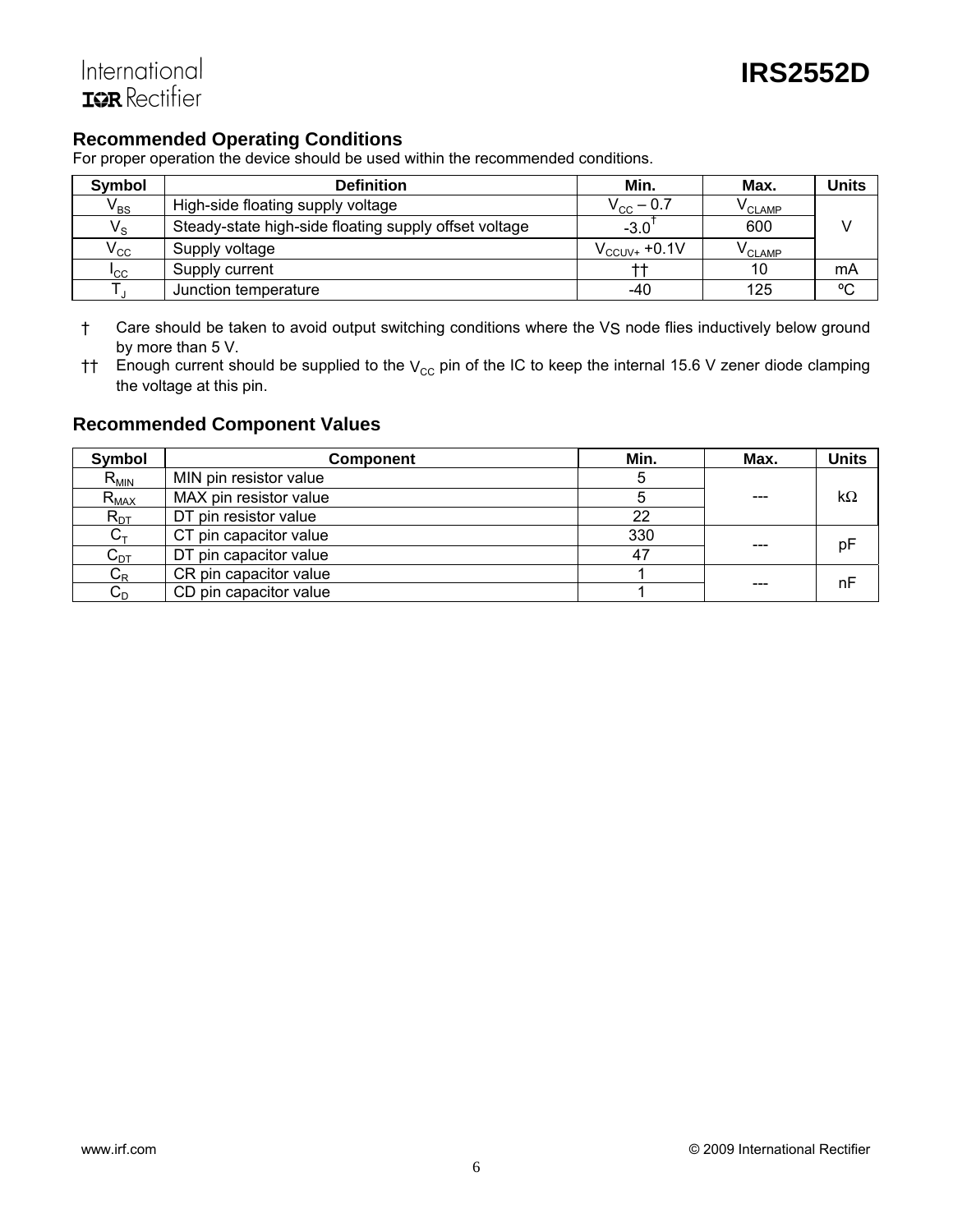# **Recommended Operating Conditions**

For proper operation the device should be used within the recommended conditions.

| Symbol                     | <b>Definition</b>                                     | Min.                   | Max.               | <b>Units</b> |
|----------------------------|-------------------------------------------------------|------------------------|--------------------|--------------|
| $\mathsf{V}_{\mathsf{BS}}$ | High-side floating supply voltage                     | $\rm V_{\rm CC}$ — 0.7 | <sup>V</sup> CLAMP |              |
| $V_{\rm S}$                | Steady-state high-side floating supply offset voltage | $-3.0$                 | 600                |              |
| $\mathsf{v}_{\mathrm{cc}}$ | Supply voltage                                        | $V_{CCUV+}$ +0.1V      | V <sub>CLAMP</sub> |              |
| $I_{\rm CC}$               | Supply current                                        |                        | 10                 | mA           |
|                            | Junction temperature                                  | -40                    | 125                | $^{\circ}C$  |

- † Care should be taken to avoid output switching conditions where the VS node flies inductively below ground by more than 5 V.
- $\ddot{\text{t}}$  Enough current should be supplied to the V<sub>CC</sub> pin of the IC to keep the internal 15.6 V zener diode clamping the voltage at this pin.

## **Recommended Component Values**

| Symbol    | <b>Component</b>       | Min. | Max. | <b>Units</b> |
|-----------|------------------------|------|------|--------------|
| $R_{MIN}$ | MIN pin resistor value | G    |      |              |
| $R_{MAX}$ | MAX pin resistor value |      |      | $k\Omega$    |
| $R_{DT}$  | DT pin resistor value  | 22   |      |              |
| $C_{T}$   | CT pin capacitor value | 330  |      | pF           |
| $C_{DT}$  | DT pin capacitor value | 47   |      |              |
| $C_R$     | CR pin capacitor value |      |      | nF           |
| $C_D$     | CD pin capacitor value |      |      |              |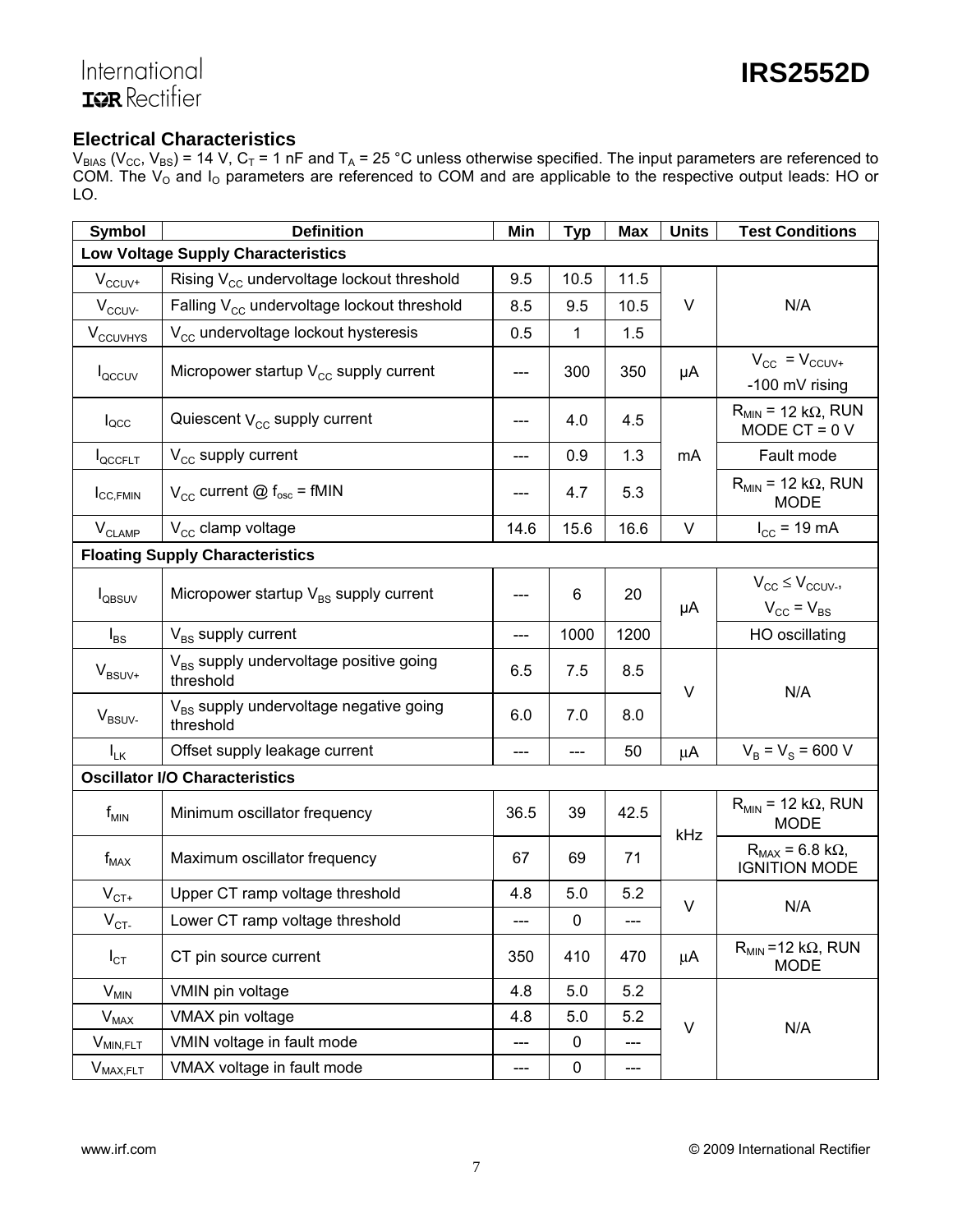# International<br>**IGR** Rectifier

## **Electrical Characteristics**

 $V_{BIAS}$  ( $V_{CC}$ ,  $V_{BS}$ ) = 14 V,  $C_T$  = 1 nF and T<sub>A</sub> = 25 °C unless otherwise specified. The input parameters are referenced to COM. The  $V_{O}$  and  $I_{O}$  parameters are referenced to COM and are applicable to the respective output leads: HO or LO.

| <b>Symbol</b>                 | <b>Definition</b>                                               | Min  | <b>Typ</b>   | <b>Max</b> | <b>Units</b> | <b>Test Conditions</b>                                    |
|-------------------------------|-----------------------------------------------------------------|------|--------------|------------|--------------|-----------------------------------------------------------|
|                               | <b>Low Voltage Supply Characteristics</b>                       |      |              |            |              |                                                           |
| $V_{CCUV^+}$                  | Rising $V_{\text{cc}}$ undervoltage lockout threshold           | 9.5  | 10.5         | 11.5       |              |                                                           |
| $V_{\text{CCUV}}$             | Falling $V_{cc}$ undervoltage lockout threshold                 | 8.5  | 9.5          | 10.5       | V            | N/A                                                       |
| $V_{\text{CCUVHYS}}$          | V <sub>cc</sub> undervoltage lockout hysteresis                 | 0.5  | $\mathbf{1}$ | 1.5        |              |                                                           |
| l <sub>QCCUV</sub>            | Micropower startup $V_{cc}$ supply current                      | ---  | 300          | 350        | μA           | $V_{CC}$ = $V_{CCUV+}$<br>-100 mV rising                  |
| $I_{\text{QCC}}$              | Quiescent $V_{\text{cc}}$ supply current                        | ---  | 4.0          | 4.5        |              | $R_{MIN}$ = 12 k $\Omega$ , RUN<br>MODE CT = $0V$         |
| <b>I</b> QCCFLT               | $V_{\text{CC}}$ supply current                                  | ---  | 0.9          | 1.3        | mA           | Fault mode                                                |
| $I_{\text{CC,FMIN}}$          | $V_{\text{CC}}$ current @ $f_{\text{osc}}$ = fMIN               |      | 4.7          | 5.3        |              | $R_{MIN}$ = 12 k $\Omega$ , RUN<br><b>MODE</b>            |
| $\mathsf{V}_{\mathsf{CLAMP}}$ | $V_{cc}$ clamp voltage                                          | 14.6 | 15.6         | 16.6       | V            | $I_{CC}$ = 19 mA                                          |
|                               | <b>Floating Supply Characteristics</b>                          |      |              |            |              |                                                           |
| <b>I</b> QBSUV                | Micropower startup $V_{BS}$ supply current                      | ---  | 6            | 20         | μA           | $V_{CC} \leq V_{CCUV}$<br>$V_{\text{CC}} = V_{\text{BS}}$ |
| $I_{BS}$                      | $V_{BS}$ supply current                                         | ---  | 1000         | 1200       |              | HO oscillating                                            |
| $V_{BSUV^+}$                  | V <sub>BS</sub> supply undervoltage positive going<br>threshold | 6.5  | 7.5          | 8.5        | V            |                                                           |
| $V_{BSUV}$                    | V <sub>BS</sub> supply undervoltage negative going<br>threshold | 6.0  | 7.0          | 8.0        |              | N/A                                                       |
| $I_{LK}$                      | Offset supply leakage current                                   | ---  |              | 50         | $\mu$ A      | $V_B = V_S = 600 V$                                       |
|                               | <b>Oscillator I/O Characteristics</b>                           |      |              |            |              |                                                           |
| $f_{MIN}$                     | Minimum oscillator frequency                                    | 36.5 | 39           | 42.5       | kHz          | $R_{MIN}$ = 12 k $\Omega$ , RUN<br><b>MODE</b>            |
| $f_{MAX}$                     | Maximum oscillator frequency                                    | 67   | 69           | 71         |              | $R_{MAX}$ = 6.8 k $\Omega$ ,<br><b>IGNITION MODE</b>      |
| $\mathsf{V}_{\mathsf{CT}^+}$  | Upper CT ramp voltage threshold                                 | 4.8  | 5.0          | 5.2        | V            |                                                           |
| $\rm V_{CI}$                  | Lower CT ramp voltage threshold                                 | ---  | 0            | ---        |              | N/A                                                       |
| $I_{\text{CT}}$               | CT pin source current                                           | 350  | 410          | 470        | μA           | $R_{MIN}$ = 12 k $\Omega$ , RUN<br><b>MODE</b>            |
| $V_{MIN}$                     | VMIN pin voltage                                                | 4.8  | 5.0          | 5.2        |              |                                                           |
| $V_{MAX}$                     | VMAX pin voltage                                                | 4.8  | 5.0          | 5.2        | V            | N/A                                                       |
| $V_{MIN,FLT}$                 | VMIN voltage in fault mode                                      | ---  | $\mathbf 0$  | ---        |              |                                                           |
| $V_{MAX,FLT}$                 | VMAX voltage in fault mode                                      | ---  | $\pmb{0}$    | ---        |              |                                                           |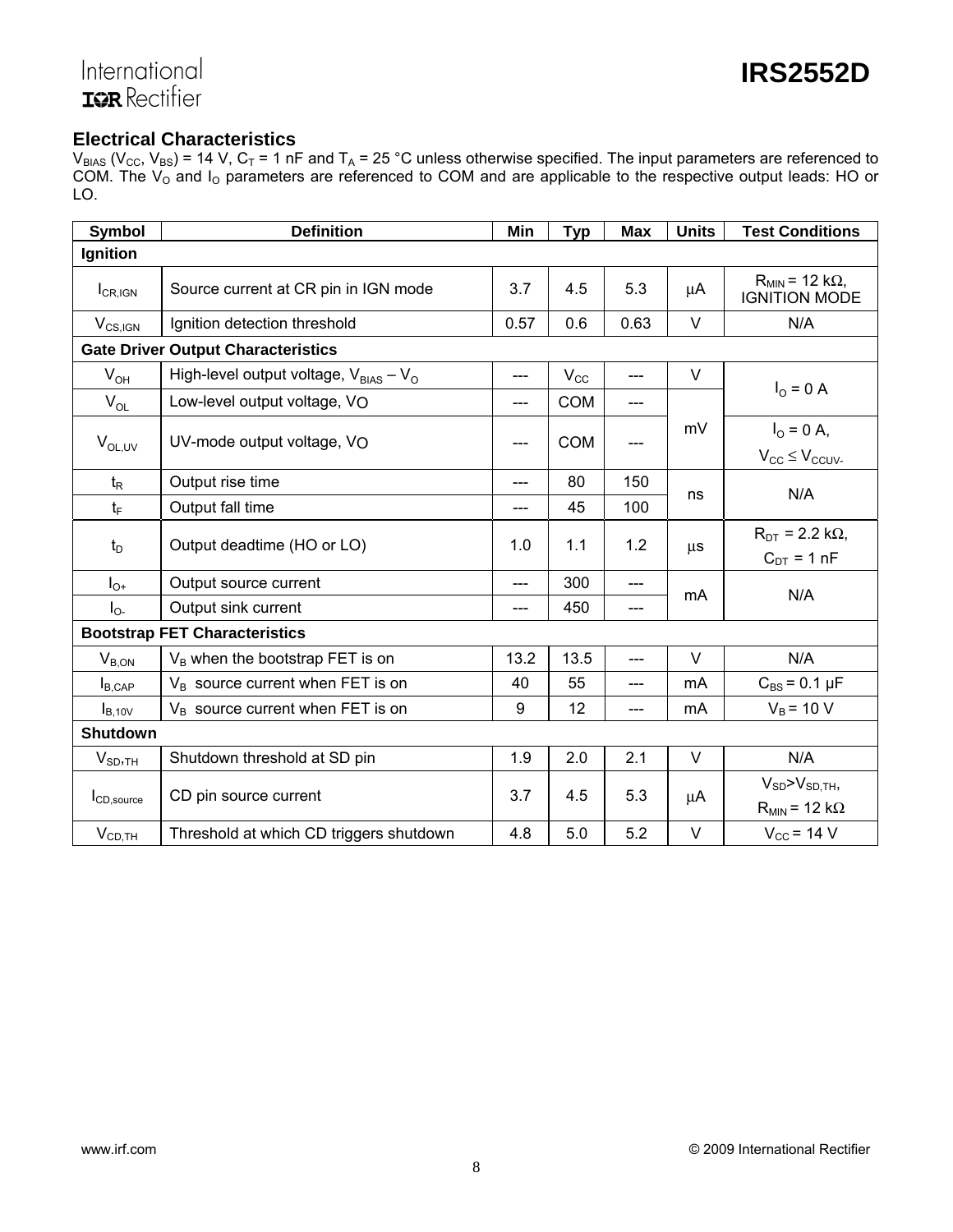# International **TOR** Rectifier

# **Electrical Characteristics**

 $V_{BIAS}$  ( $V_{CC}$ ,  $V_{BS}$ ) = 14 V,  $C_T$  = 1 nF and T<sub>A</sub> = 25 °C unless otherwise specified. The input parameters are referenced to COM. The  $V_{O}$  and  $I_{O}$  parameters are referenced to COM and are applicable to the respective output leads: HO or LO.

| <b>Symbol</b>          | <b>Definition</b>                             | Min   | <b>Typ</b>   | <b>Max</b> | <b>Units</b> | <b>Test Conditions</b>                              |
|------------------------|-----------------------------------------------|-------|--------------|------------|--------------|-----------------------------------------------------|
| Ignition               |                                               |       |              |            |              |                                                     |
| $I_{CR,IGN}$           | Source current at CR pin in IGN mode          | 3.7   | 4.5          | 5.3        | μA           | $R_{MIN}$ = 12 k $\Omega$ ,<br><b>IGNITION MODE</b> |
| $V_{CS,IGN}$           | Ignition detection threshold                  | 0.57  | 0.6          | 0.63       | $\vee$       | N/A                                                 |
|                        | <b>Gate Driver Output Characteristics</b>     |       |              |            |              |                                                     |
| $V_{OH}$               | High-level output voltage, $V_{BIAS} - V_{O}$ | ---   | $V_{\rm CC}$ | ---        | V            |                                                     |
| $V_{OL}$               | Low-level output voltage, VO                  | $---$ | <b>COM</b>   | ---        |              | $I_{O} = 0 A$                                       |
| $V_{OL,UV}$            | UV-mode output voltage, VO                    | ---   | <b>COM</b>   | ---        | mV           | $I_{\Omega} = 0 A$ ,<br>$V_{CC} \leq V_{CCUV}$      |
| $t_{\mathsf{R}}$       | Output rise time                              | $---$ | 80           | 150        |              | N/A                                                 |
| $t_{\mathsf{F}}$       | Output fall time                              | ---   | 45           | 100        | ns           |                                                     |
| $t_{\text{D}}$         | Output deadtime (HO or LO)                    | 1.0   | 1.1          | 1.2        | $\mu$ s      | $R_{DT}$ = 2.2 k $\Omega$ ,<br>$C_{DT}$ = 1 nF      |
| $I_{O^+}$              | Output source current                         | $---$ | 300          | ---        |              |                                                     |
| $I_{0}$                | Output sink current                           | ---   | 450          | ---        | mA           | N/A                                                 |
|                        | <b>Bootstrap FET Characteristics</b>          |       |              |            |              |                                                     |
| $V_{B,ON}$             | V <sub>B</sub> when the bootstrap FET is on   | 13.2  | 13.5         | ---        | $\vee$       | N/A                                                 |
| $I_{B, CAP}$           | $V_B$ source current when FET is on           | 40    | 55           | ---        | mA           | $C_{BS} = 0.1 \mu F$                                |
| $I_{B,10V}$            | $V_B$ source current when FET is on           | 9     | 12           | ---        | mA           | $V_B$ = 10 V                                        |
| Shutdown               |                                               |       |              |            |              |                                                     |
| V <sub>SD,TH</sub>     | Shutdown threshold at SD pin                  | 1.9   | 2.0          | 2.1        | $\vee$       | N/A                                                 |
| I <sub>CD,source</sub> | CD pin source current                         | 3.7   | 4.5          | 5.3        | μA           | $V_{SD} > V_{SD,TH}$<br>$R_{MIN}$ = 12 k $\Omega$   |
| $V_{CD,TH}$            | Threshold at which CD triggers shutdown       | 4.8   | 5.0          | 5.2        | $\vee$       | $V_{CC}$ = 14 V                                     |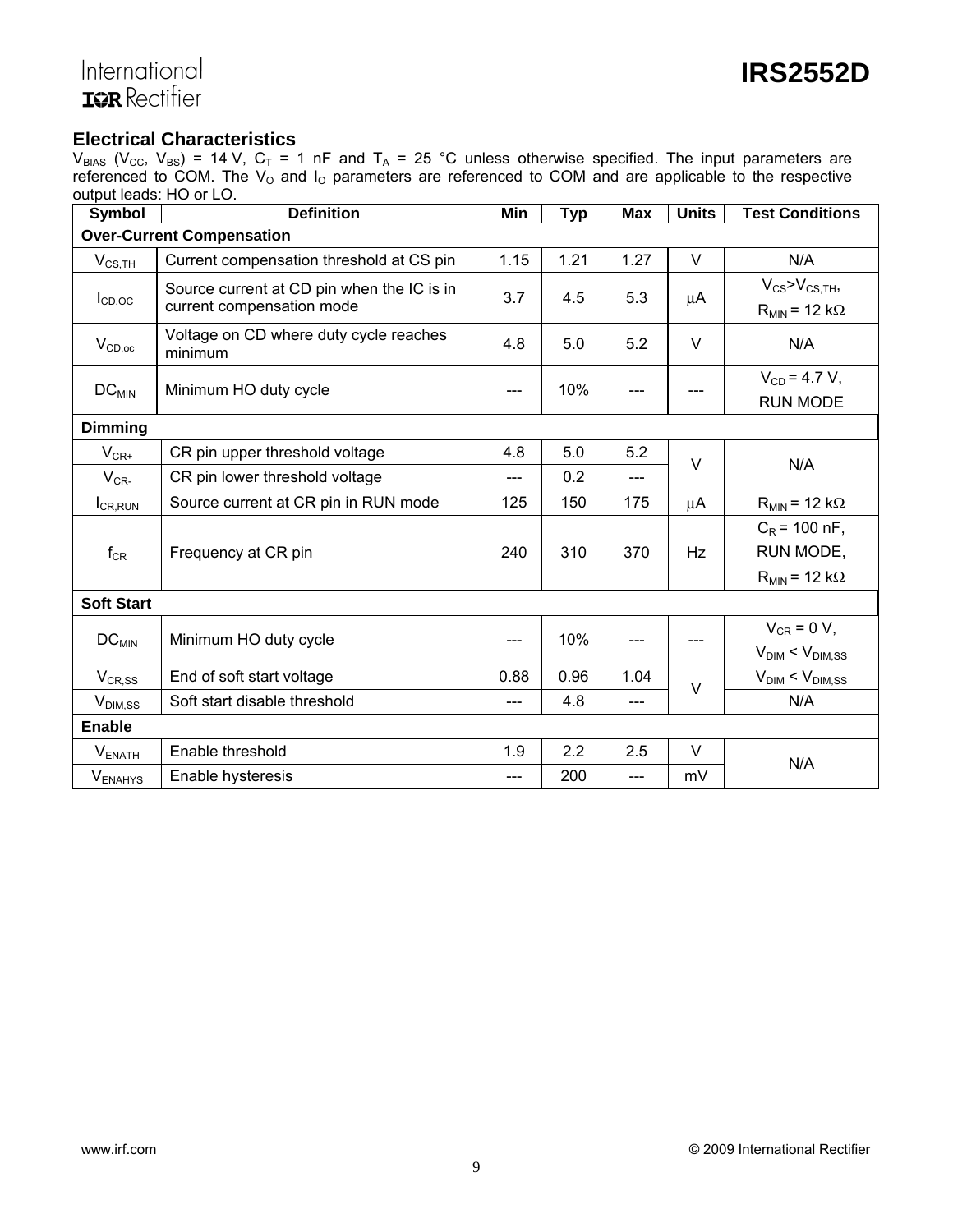# International<br>**IQR** Rectifier

### **Electrical Characteristics**

 $V_{BIAS}$  ( $V_{CC}$ ,  $V_{BS}$ ) = 14 V,  $C_T$  = 1 nF and T<sub>A</sub> = 25 °C unless otherwise specified. The input parameters are referenced to COM. The  $V_{O}$  and  $I_{O}$  parameters are referenced to COM and are applicable to the respective output leads: HO or LO.

| <b>Symbol</b>     | <b>Definition</b>                                                       | Min  | <b>Typ</b> | <b>Max</b>                           | <b>Units</b> | <b>Test Conditions</b>                                    |
|-------------------|-------------------------------------------------------------------------|------|------------|--------------------------------------|--------------|-----------------------------------------------------------|
|                   | <b>Over-Current Compensation</b>                                        |      |            |                                      |              |                                                           |
| $V_{CS,TH}$       | Current compensation threshold at CS pin                                | 1.15 | 1.21       | 1.27                                 | V            | N/A                                                       |
| $I_{CD,OC}$       | Source current at CD pin when the IC is in<br>current compensation mode | 3.7  | 4.5        | 5.3                                  | μA           | $V_{CS}$ > $V_{CS,TH}$ ,<br>$R_{MIN}$ = 12 k $\Omega$     |
| $V_{CD,oc}$       | Voltage on CD where duty cycle reaches<br>minimum                       | 4.8  | 5.0        | 5.2                                  | $\vee$       | N/A                                                       |
| $DC_{MIN}$        | 10%<br>Minimum HO duty cycle                                            |      |            | $V_{CD} = 4.7 V,$<br><b>RUN MODE</b> |              |                                                           |
| <b>Dimming</b>    |                                                                         |      |            |                                      |              |                                                           |
| $V_{CR^+}$        | CR pin upper threshold voltage                                          | 4.8  | 5.0        | 5.2                                  | $\vee$       | N/A                                                       |
| $V_{CR}$          | CR pin lower threshold voltage                                          | ---  | 0.2        | ---                                  |              |                                                           |
| $I_{CR, RUN}$     | Source current at CR pin in RUN mode                                    | 125  | 150        | 175                                  | μA           | $R_{MIN}$ = 12 k $\Omega$                                 |
| $f_{CR}$          | Frequency at CR pin                                                     | 240  | 310        | 370                                  | Hz           | $C_R$ = 100 nF,<br>RUN MODE,<br>$R_{MIN}$ = 12 k $\Omega$ |
| <b>Soft Start</b> |                                                                         |      |            |                                      |              |                                                           |
| $DC_{MIN}$        | Minimum HO duty cycle                                                   |      | 10%        |                                      | ---          | $V_{CR} = 0 V,$<br>$V_{\text{DIM}}$ < $V_{\text{DIM,SS}}$ |
| $V_{CR,SS}$       | End of soft start voltage                                               | 0.88 | 0.96       | 1.04                                 | $\vee$       | $V_{\text{DIM}}$ < $V_{\text{DIM,SS}}$                    |
| $V_{DIM,SS}$      | Soft start disable threshold                                            |      | 4.8        | ---                                  |              | N/A                                                       |
| <b>Enable</b>     |                                                                         |      |            |                                      |              |                                                           |
| $V_{ENATH}$       | Enable threshold                                                        | 1.9  | 2.2        | 2.5                                  | $\vee$       | N/A                                                       |
| <b>VENAHYS</b>    | Enable hysteresis                                                       |      | 200        | ---                                  | mV           |                                                           |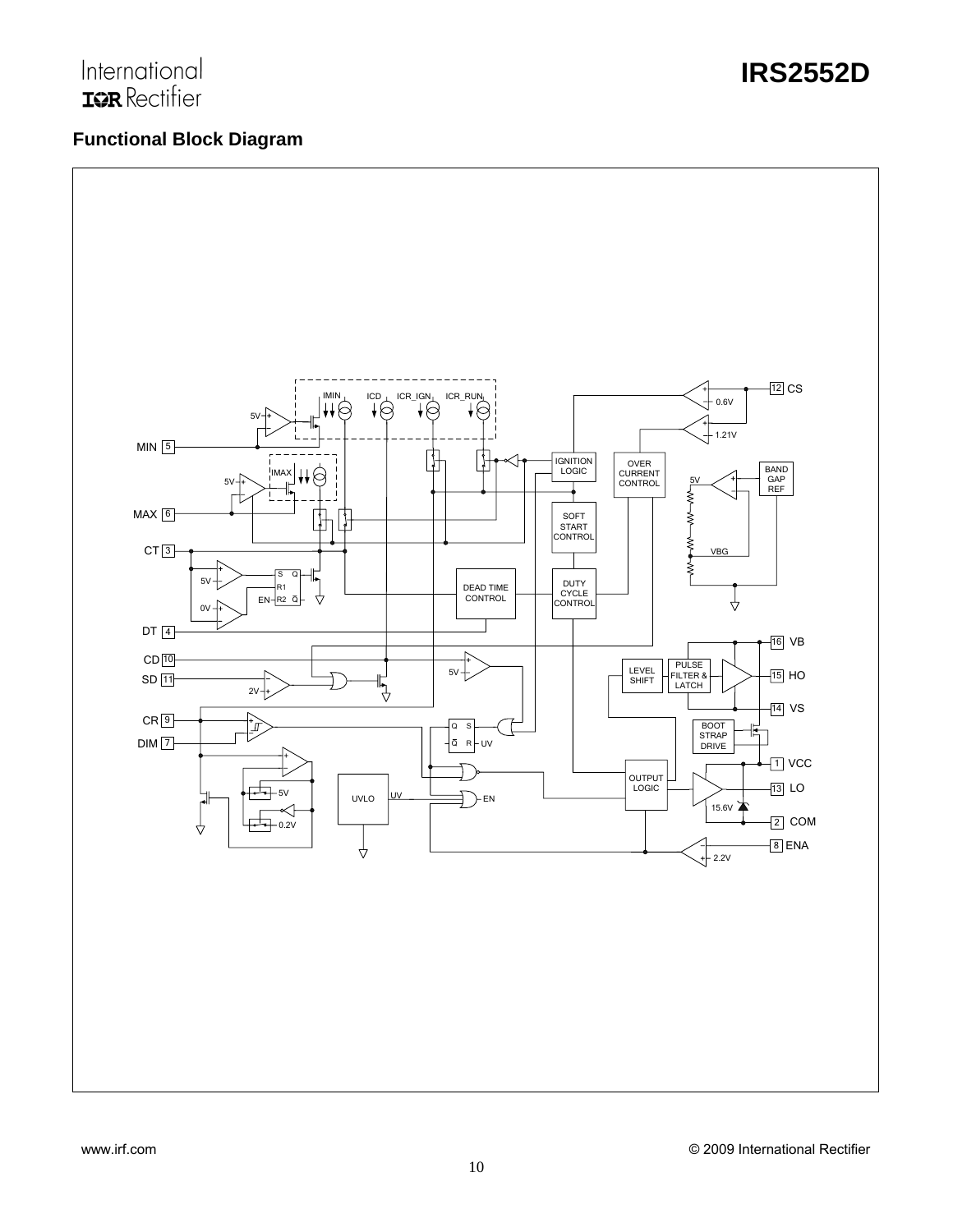# International **IOR** Rectifier

# **Functional Block Diagram**

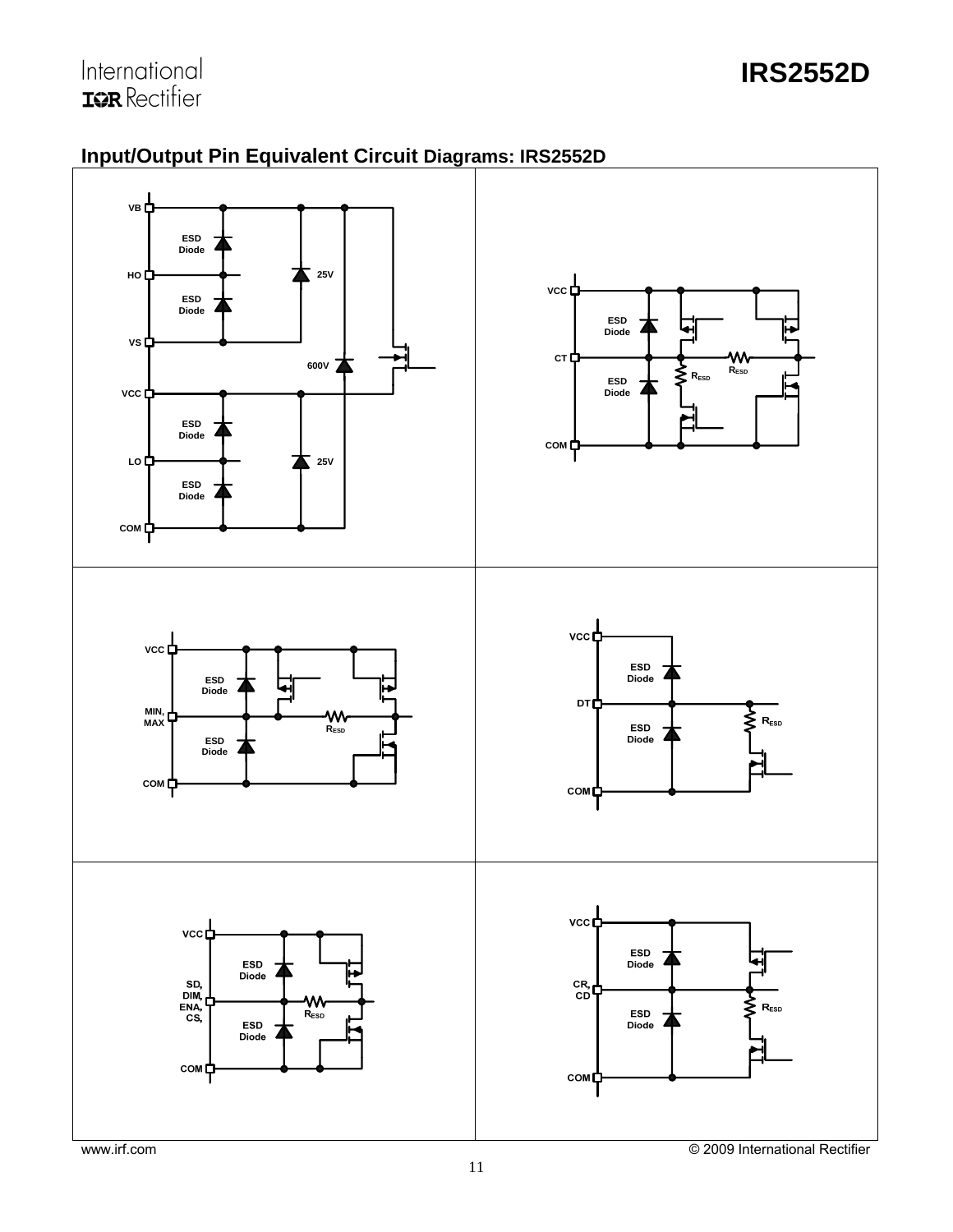

# **Input/Output Pin Equivalent Circuit Diagrams: IRS2552D**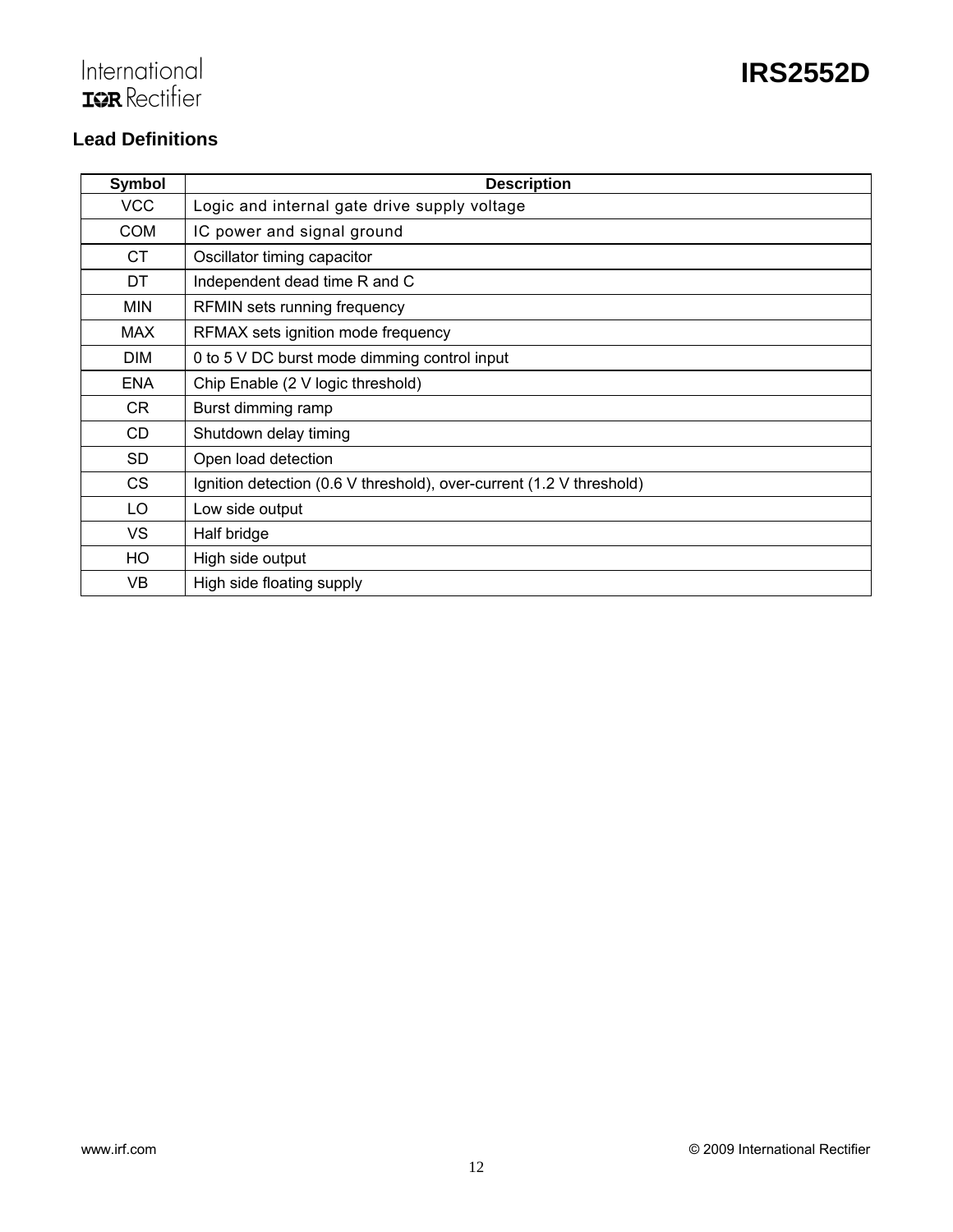# International<br>TOR Rectifier

# **Lead Definitions**

| Symbol     | <b>Description</b>                                                   |
|------------|----------------------------------------------------------------------|
| <b>VCC</b> | Logic and internal gate drive supply voltage                         |
| <b>COM</b> | IC power and signal ground                                           |
| CT.        | Oscillator timing capacitor                                          |
| DT.        | Independent dead time R and C                                        |
| <b>MIN</b> | RFMIN sets running frequency                                         |
| <b>MAX</b> | RFMAX sets ignition mode frequency                                   |
| <b>DIM</b> | 0 to 5 V DC burst mode dimming control input                         |
| <b>ENA</b> | Chip Enable (2 V logic threshold)                                    |
| CR         | Burst dimming ramp                                                   |
| <b>CD</b>  | Shutdown delay timing                                                |
| <b>SD</b>  | Open load detection                                                  |
| <b>CS</b>  | Ignition detection (0.6 V threshold), over-current (1.2 V threshold) |
| LO         | Low side output                                                      |
| VS         | Half bridge                                                          |
| HO         | High side output                                                     |
| VB         | High side floating supply                                            |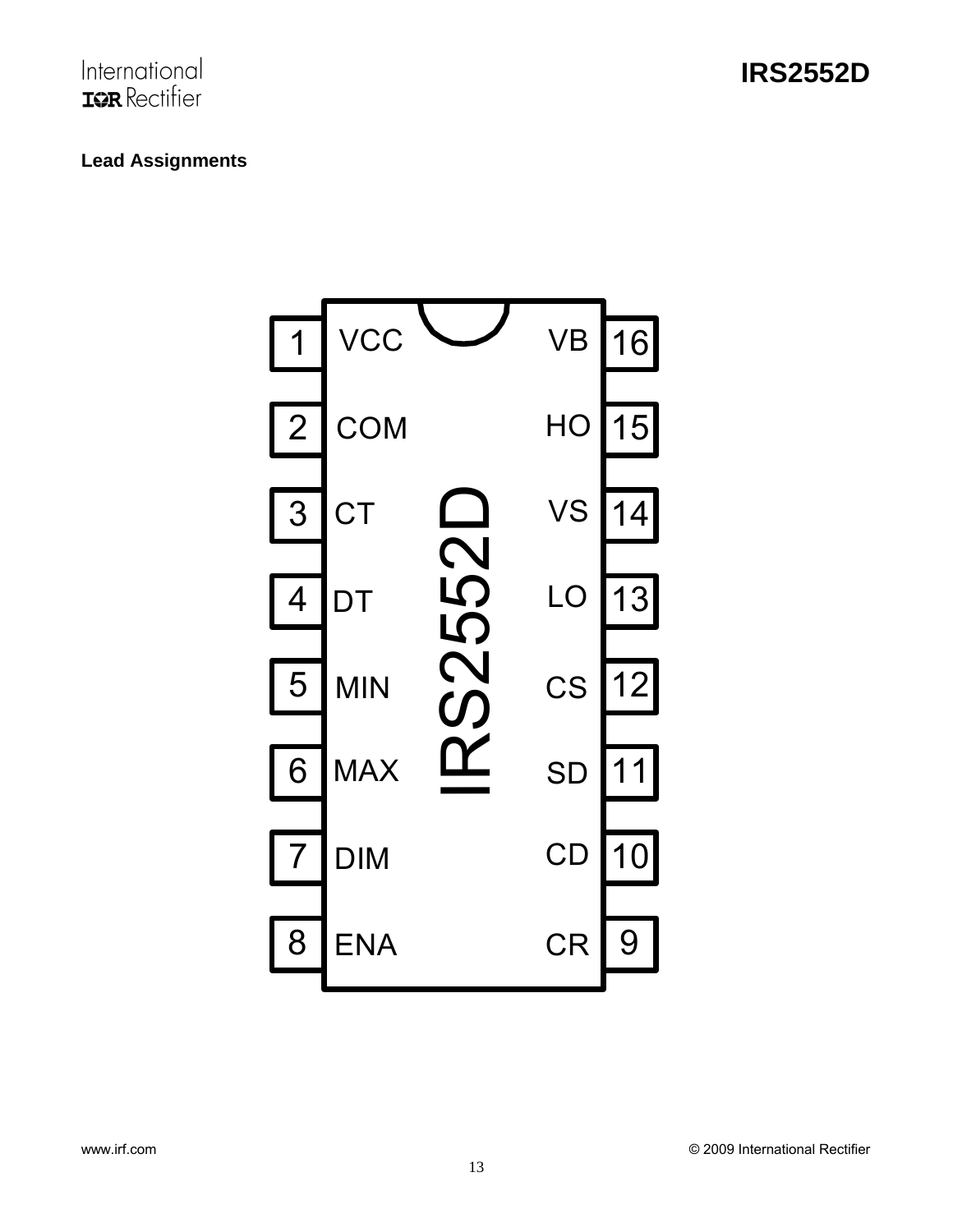# **Lead Assignments**

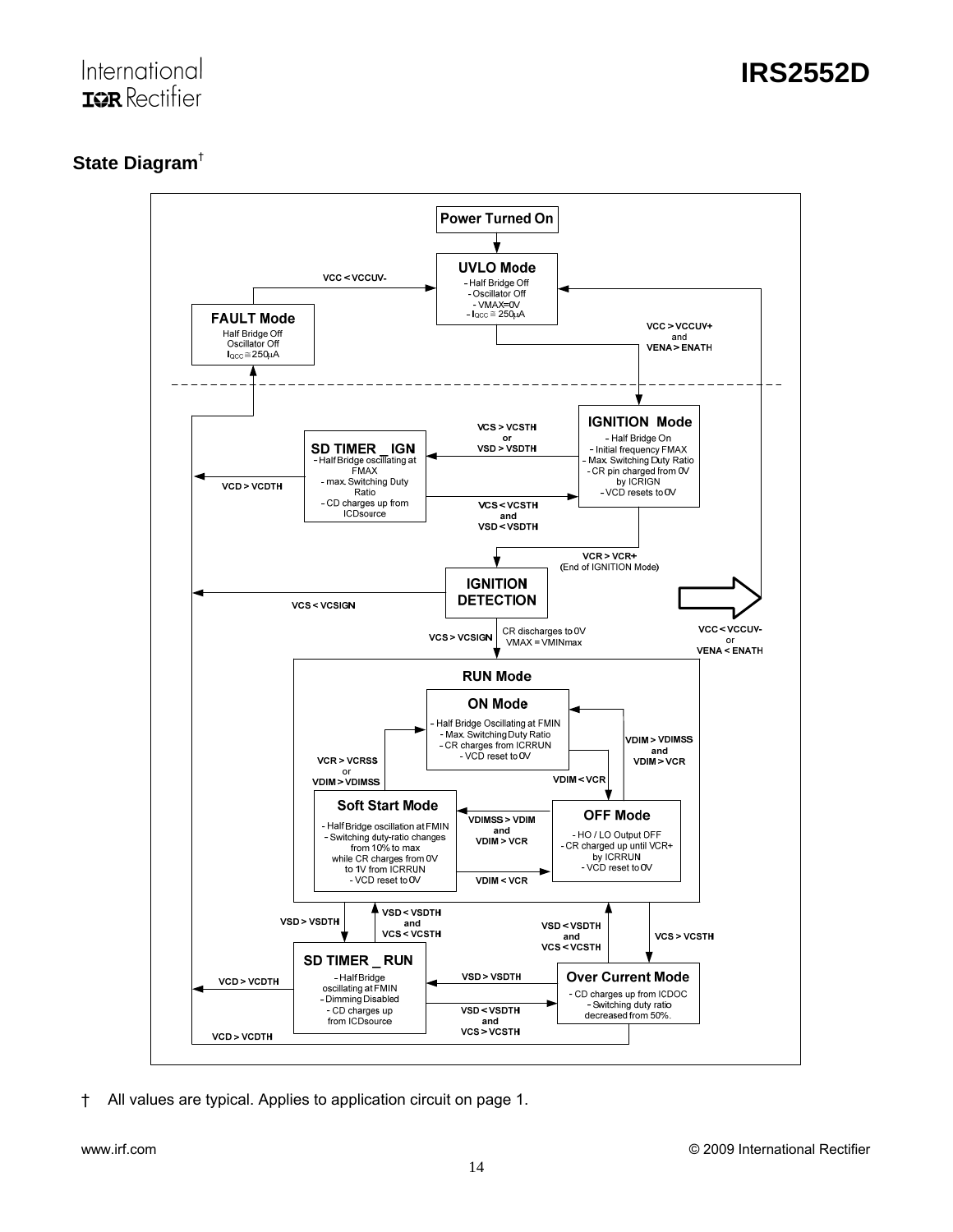# **State Diagram**†



† All values are typical. Applies to application circuit on page 1.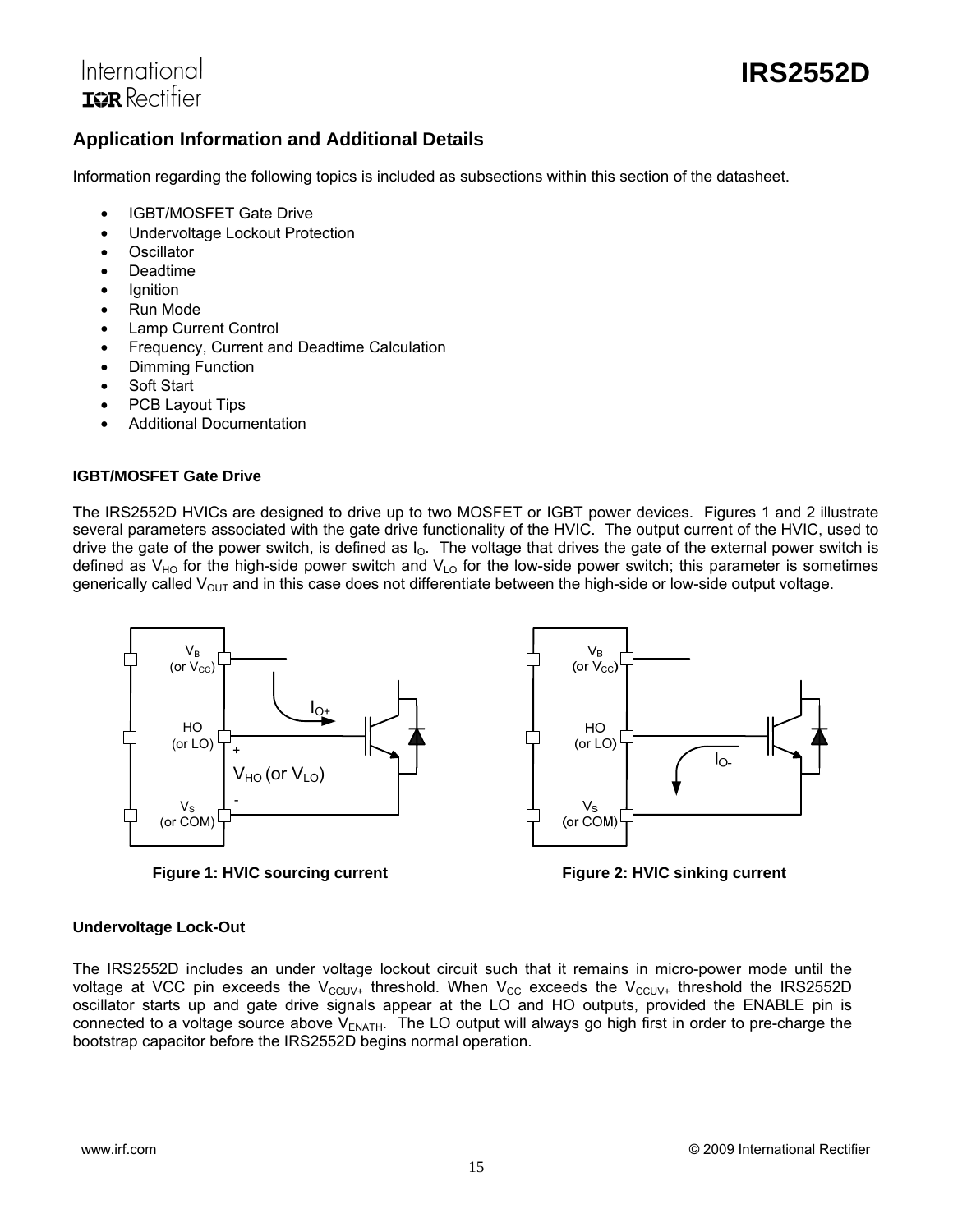

## **Application Information and Additional Details**

Information regarding the following topics is included as subsections within this section of the datasheet.

- IGBT/MOSFET Gate Drive
- Undervoltage Lockout Protection
- Oscillator
- Deadtime
- **Ignition**
- Run Mode
- Lamp Current Control
- Frequency, Current and Deadtime Calculation
- Dimming Function
- Soft Start
- PCB Layout Tips
- Additional Documentation

#### **IGBT/MOSFET Gate Drive**

The IRS2552D HVICs are designed to drive up to two MOSFET or IGBT power devices. Figures 1 and 2 illustrate several parameters associated with the gate drive functionality of the HVIC. The output current of the HVIC, used to drive the gate of the power switch, is defined as  $I_0$ . The voltage that drives the gate of the external power switch is defined as  $V_{HO}$  for the high-side power switch and  $V_{LO}$  for the low-side power switch; this parameter is sometimes generically called  $V_{OUT}$  and in this case does not differentiate between the high-side or low-side output voltage.



**Figure 1: HVIC sourcing current Figure 2: HVIC sinking current** 



#### **Undervoltage Lock-Out**

The IRS2552D includes an under voltage lockout circuit such that it remains in micro-power mode until the voltage at VCC pin exceeds the V<sub>CCUV+</sub> threshold. When V<sub>CC</sub> exceeds the V<sub>CCUV+</sub> threshold the IRS2552D oscillator starts up and gate drive signals appear at the LO and HO outputs, provided the ENABLE pin is connected to a voltage source above  $V_{ENATH}$ . The LO output will always go high first in order to pre-charge the bootstrap capacitor before the IRS2552D begins normal operation.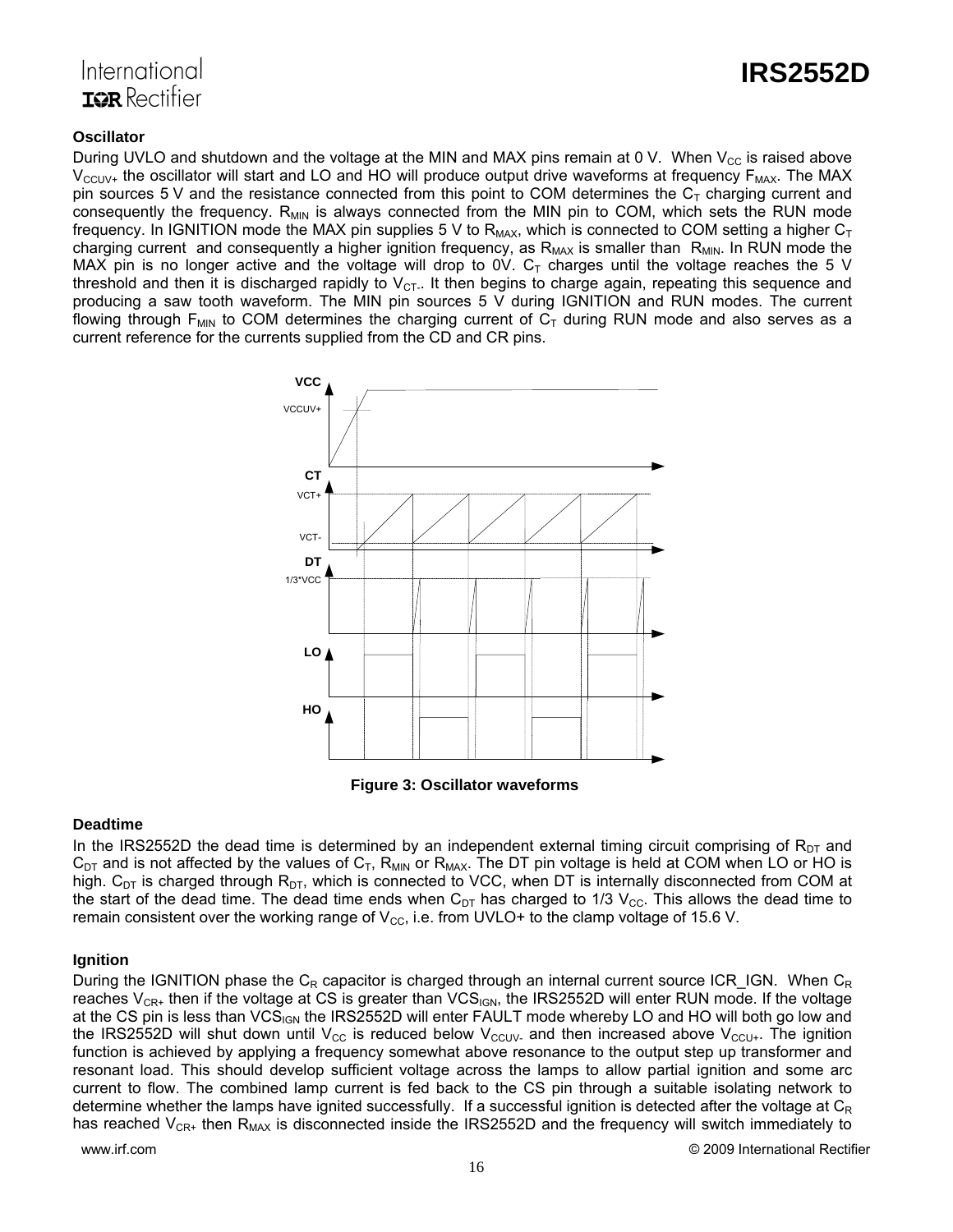



#### **Oscillator**

During UVLO and shutdown and the voltage at the MIN and MAX pins remain at 0 V. When  $V_{CC}$  is raised above  $V_{\text{CCUV+}}$  the oscillator will start and LO and HO will produce output drive waveforms at frequency  $F_{\text{MAX}}$ . The MAX pin sources 5 V and the resistance connected from this point to COM determines the  $C<sub>T</sub>$  charging current and consequently the frequency.  $R_{MIN}$  is always connected from the MIN pin to COM, which sets the RUN mode frequency. In IGNITION mode the MAX pin supplies 5 V to  $R_{MAX}$ , which is connected to COM setting a higher  $C_T$ charging current and consequently a higher ignition frequency, as  $R_{MAX}$  is smaller than  $R_{MIN}$ . In RUN mode the MAX pin is no longer active and the voltage will drop to 0V.  $C<sub>T</sub>$  charges until the voltage reaches the 5 V threshold and then it is discharged rapidly to  $V_{CT-}$ . It then begins to charge again, repeating this sequence and producing a saw tooth waveform. The MIN pin sources 5 V during IGNITION and RUN modes. The current flowing through  $F_{MIN}$  to COM determines the charging current of  $C_T$  during RUN mode and also serves as a current reference for the currents supplied from the CD and CR pins.



**Figure 3: Oscillator waveforms**

#### **Deadtime**

In the IRS2552D the dead time is determined by an independent external timing circuit comprising of  $R_{DT}$  and  $C_{DT}$  and is not affected by the values of  $C_T$ , R<sub>MIN</sub> or R<sub>MAX</sub>. The DT pin voltage is held at COM when LO or HO is high.  $C_{DT}$  is charged through  $R_{DT}$ , which is connected to VCC, when DT is internally disconnected from COM at the start of the dead time. The dead time ends when  $C_{DT}$  has charged to 1/3  $V_{CC}$ . This allows the dead time to remain consistent over the working range of  $V_{\text{CC}}$ , i.e. from UVLO+ to the clamp voltage of 15.6 V.

#### **Ignition**

During the IGNITION phase the  $C_R$  capacitor is charged through an internal current source ICR\_IGN. When  $C_R$ reaches  $V_{CR+}$  then if the voltage at CS is greater than VCS<sub>IGN</sub>, the IRS2552D will enter RUN mode. If the voltage at the CS pin is less than VCS<sub>IGN</sub> the IRS2552D will enter FAULT mode whereby LO and HO will both go low and the IRS2552D will shut down until V<sub>CC</sub> is reduced below V<sub>CCUV</sub>. and then increased above V<sub>CCU+</sub>. The ignition function is achieved by applying a frequency somewhat above resonance to the output step up transformer and resonant load. This should develop sufficient voltage across the lamps to allow partial ignition and some arc current to flow. The combined lamp current is fed back to the CS pin through a suitable isolating network to determine whether the lamps have ignited successfully. If a successful ignition is detected after the voltage at  $C_R$ has reached  $V_{CR+}$  then  $R_{MAX}$  is disconnected inside the IRS2552D and the frequency will switch immediately to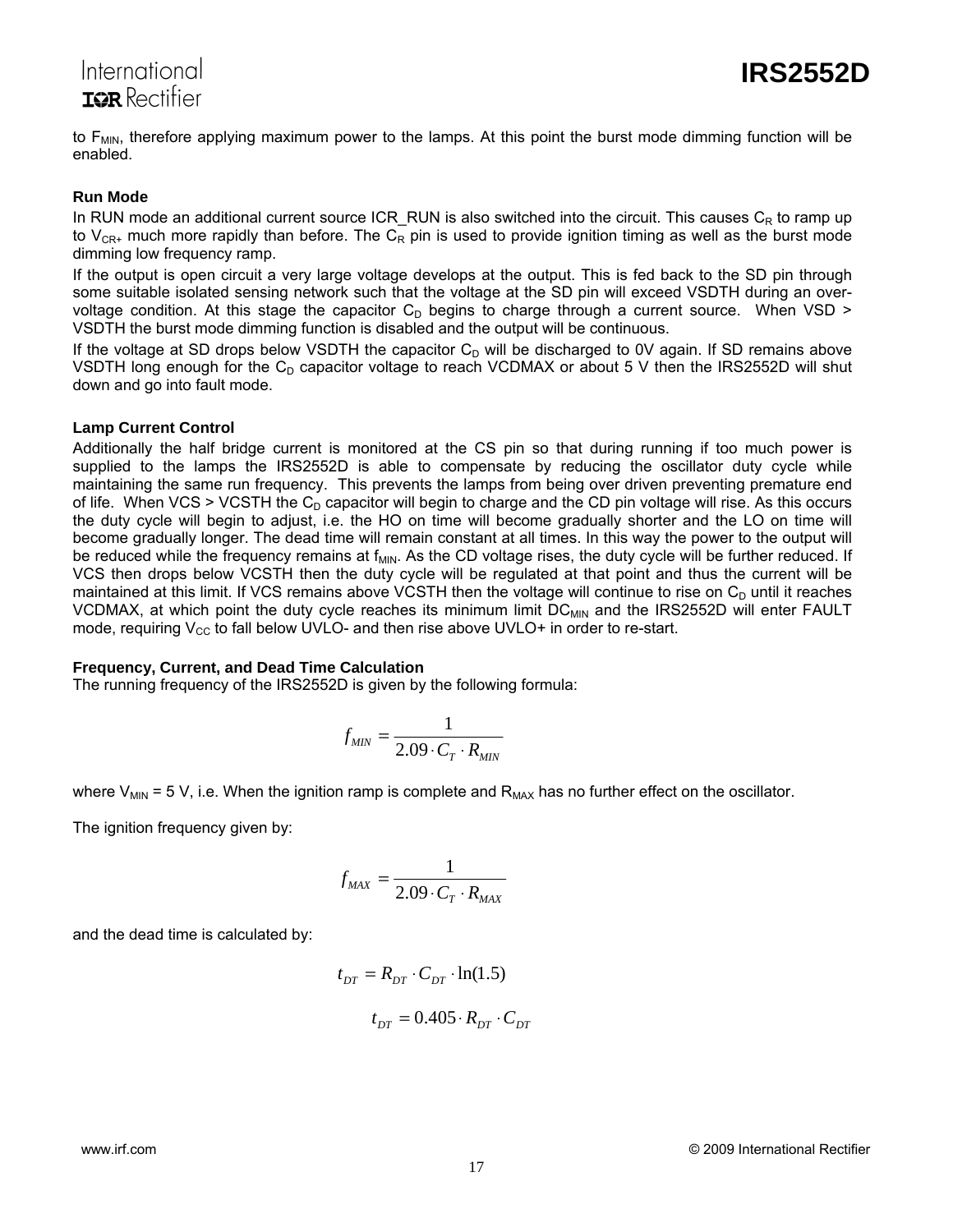# International **TOR** Rectifier

to  $F_{MIN}$ , therefore applying maximum power to the lamps. At this point the burst mode dimming function will be enabled.

#### **Run Mode**

In RUN mode an additional current source ICR\_RUN is also switched into the circuit. This causes  $C_R$  to ramp up to V<sub>CR+</sub> much more rapidly than before. The C<sub>R</sub> pin is used to provide ignition timing as well as the burst mode dimming low frequency ramp.

If the output is open circuit a very large voltage develops at the output. This is fed back to the SD pin through some suitable isolated sensing network such that the voltage at the SD pin will exceed VSDTH during an overvoltage condition. At this stage the capacitor  $C_D$  begins to charge through a current source. When VSD > VSDTH the burst mode dimming function is disabled and the output will be continuous.

If the voltage at SD drops below VSDTH the capacitor  $C<sub>D</sub>$  will be discharged to 0V again. If SD remains above VSDTH long enough for the  $C_D$  capacitor voltage to reach VCDMAX or about 5 V then the IRS2552D will shut down and go into fault mode.

#### **Lamp Current Control**

Additionally the half bridge current is monitored at the CS pin so that during running if too much power is supplied to the lamps the IRS2552D is able to compensate by reducing the oscillator duty cycle while maintaining the same run frequency. This prevents the lamps from being over driven preventing premature end of life. When VCS > VCSTH the  $C_D$  capacitor will begin to charge and the CD pin voltage will rise. As this occurs the duty cycle will begin to adjust, i.e. the HO on time will become gradually shorter and the LO on time will become gradually longer. The dead time will remain constant at all times. In this way the power to the output will be reduced while the frequency remains at f<sub>MIN</sub>. As the CD voltage rises, the duty cycle will be further reduced. If VCS then drops below VCSTH then the duty cycle will be regulated at that point and thus the current will be maintained at this limit. If VCS remains above VCSTH then the voltage will continue to rise on  $C_D$  until it reaches VCDMAX, at which point the duty cycle reaches its minimum limit DC<sub>MIN</sub> and the IRS2552D will enter FAULT mode, requiring  $V_{CC}$  to fall below UVLO- and then rise above UVLO+ in order to re-start.

#### **Frequency, Current, and Dead Time Calculation**

The running frequency of the IRS2552D is given by the following formula:

$$
f_{MIN} = \frac{1}{2.09 \cdot C_T \cdot R_{MIN}}
$$

where  $V_{\text{MIN}}$  = 5 V, i.e. When the ignition ramp is complete and  $R_{\text{MAX}}$  has no further effect on the oscillator.

The ignition frequency given by:

$$
f_{MAX} = \frac{1}{2.09 \cdot C_T \cdot R_{MAX}}
$$

and the dead time is calculated by:

$$
t_{DT} = R_{DT} \cdot C_{DT} \cdot \ln(1.5)
$$

$$
t_{DT} = 0.405 \cdot R_{DT} \cdot C_{DT}
$$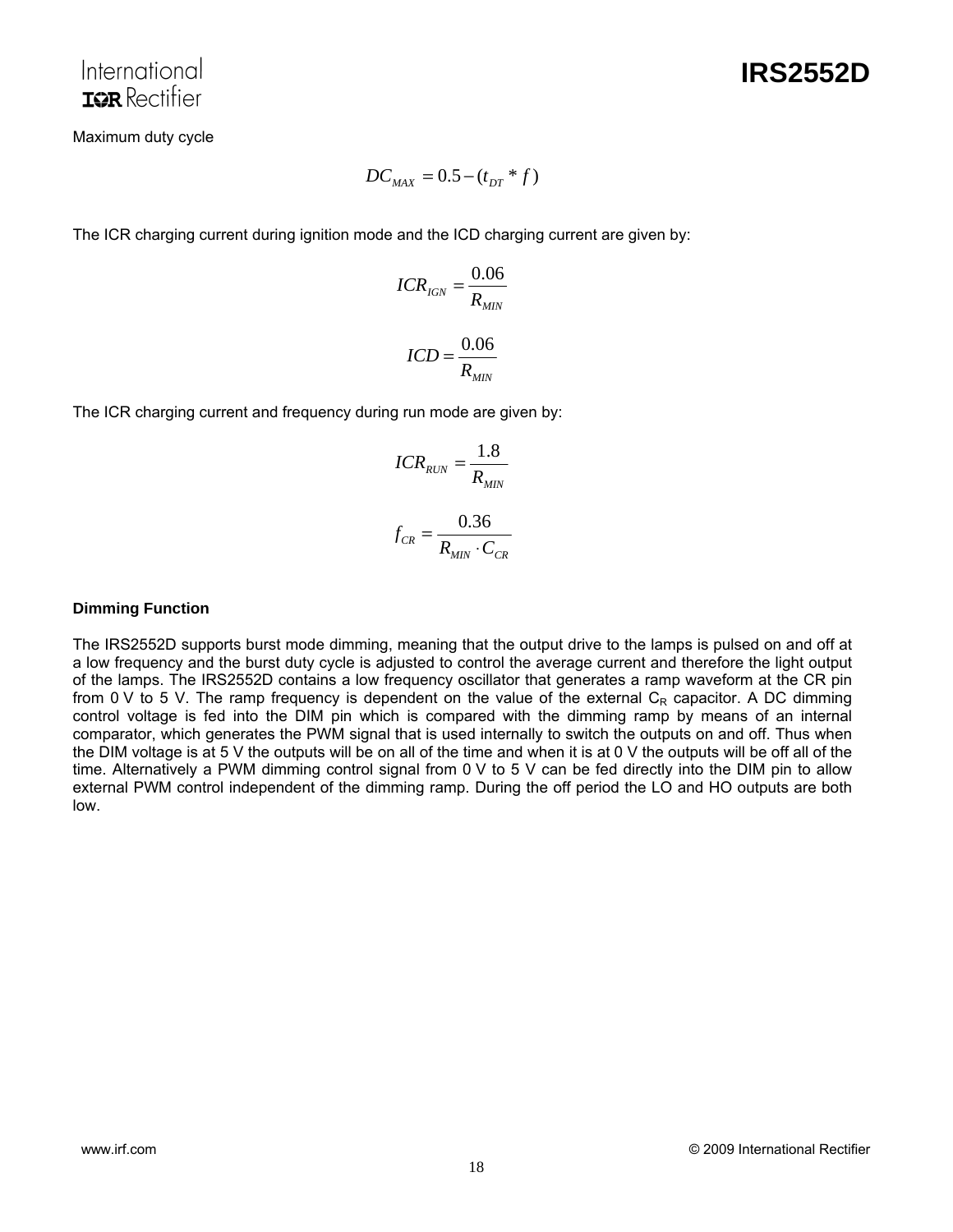Maximum duty cycle

$$
DC_{MAX} = 0.5 - (t_{DT} * f)
$$

The ICR charging current during ignition mode and the ICD charging current are given by:

$$
ICR_{IGN} = \frac{0.06}{R_{MIN}}
$$

$$
ICD = \frac{0.06}{R_{MIN}}
$$

The ICR charging current and frequency during run mode are given by:

$$
ICR_{RUN} = \frac{1.8}{R_{MIN}}
$$

$$
f_{CR} = \frac{0.36}{R_{MIN} \cdot C_{CR}}
$$

#### **Dimming Function**

The IRS2552D supports burst mode dimming, meaning that the output drive to the lamps is pulsed on and off at a low frequency and the burst duty cycle is adjusted to control the average current and therefore the light output of the lamps. The IRS2552D contains a low frequency oscillator that generates a ramp waveform at the CR pin from 0 V to 5 V. The ramp frequency is dependent on the value of the external  $C_R$  capacitor. A DC dimming control voltage is fed into the DIM pin which is compared with the dimming ramp by means of an internal comparator, which generates the PWM signal that is used internally to switch the outputs on and off. Thus when the DIM voltage is at 5 V the outputs will be on all of the time and when it is at 0 V the outputs will be off all of the time. Alternatively a PWM dimming control signal from 0 V to 5 V can be fed directly into the DIM pin to allow external PWM control independent of the dimming ramp. During the off period the LO and HO outputs are both low.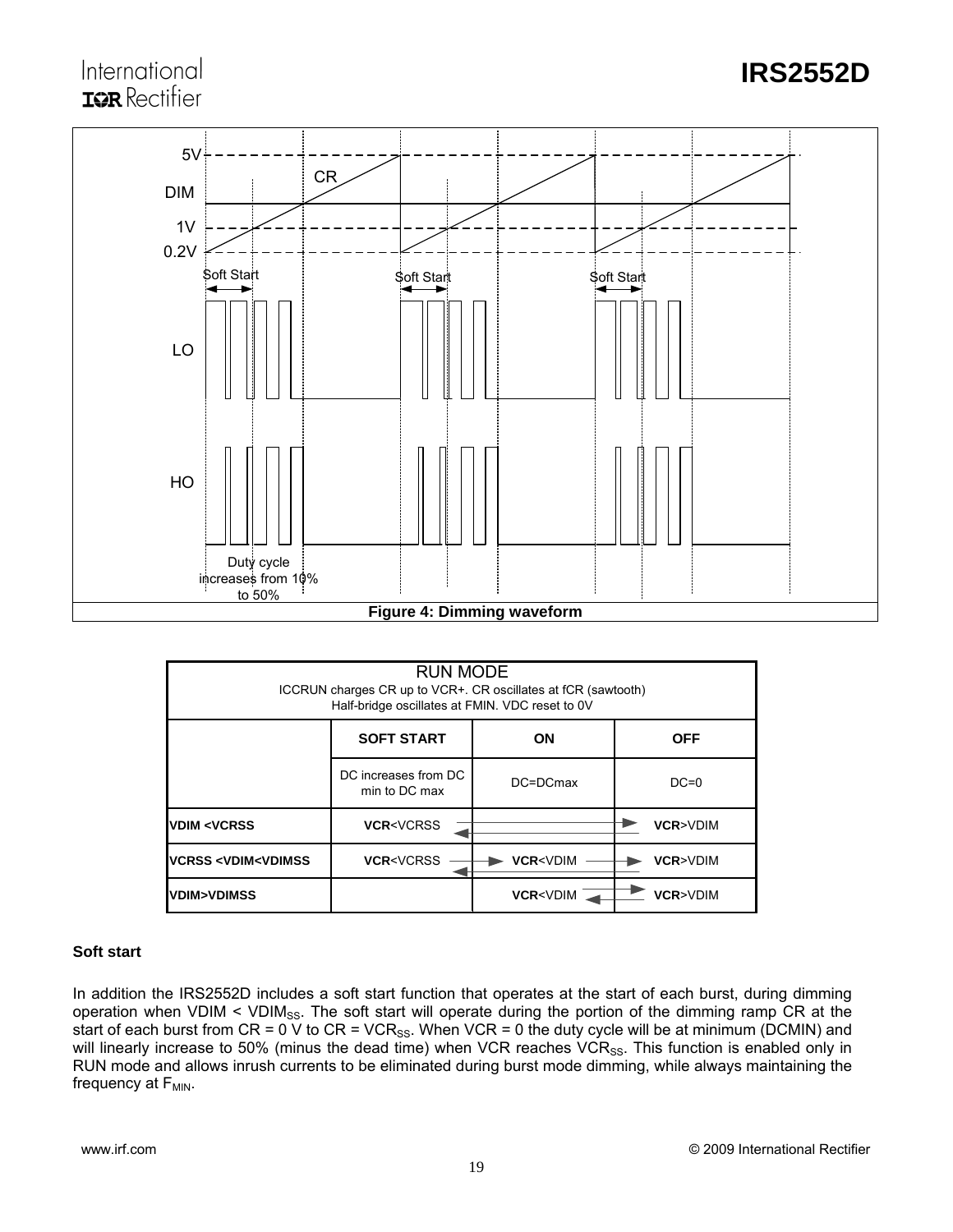# International **IGR** Rectifier



| RUN MODE<br>ICCRUN charges CR up to VCR+. CR oscillates at fCR (sawtooth)<br>Half-bridge oscillates at FMIN. VDC reset to 0V |                                       |                                                       |          |  |  |  |  |
|------------------------------------------------------------------------------------------------------------------------------|---------------------------------------|-------------------------------------------------------|----------|--|--|--|--|
| <b>SOFT START</b><br>ON<br><b>OFF</b>                                                                                        |                                       |                                                       |          |  |  |  |  |
|                                                                                                                              | DC increases from DC<br>min to DC max | DC=DCmax                                              | $DC=0$   |  |  |  |  |
| <b>VDIM <vcrss< b=""></vcrss<></b>                                                                                           | <b>VCR<vcrss< b=""></vcrss<></b>      |                                                       | VCR>VDIM |  |  |  |  |
| <b>VCRSS <vdim<vdimss< b=""></vdim<vdimss<></b>                                                                              | <b>VCR<vcrss< b=""></vcrss<></b>      | <b>VCR<vdim< b=""><br/><b>VCR&gt;VDIM</b></vdim<></b> |          |  |  |  |  |
| <b>VDIM&gt;VDIMSS</b>                                                                                                        |                                       | <b>VCR&gt;VDIM</b><br><b>VCR<vdim< b=""></vdim<></b>  |          |  |  |  |  |

#### **Soft start**

In addition the IRS2552D includes a soft start function that operates at the start of each burst, during dimming operation when VDIM < VDIM<sub>SS</sub>. The soft start will operate during the portion of the dimming ramp CR at the start of each burst from CR = 0 V to CR = VCR<sub>SS</sub>. When VCR = 0 the duty cycle will be at minimum (DCMIN) and will linearly increase to 50% (minus the dead time) when VCR reaches VCR<sub>SS</sub>. This function is enabled only in RUN mode and allows inrush currents to be eliminated during burst mode dimming, while always maintaining the frequency at  $F_{MIN}$ .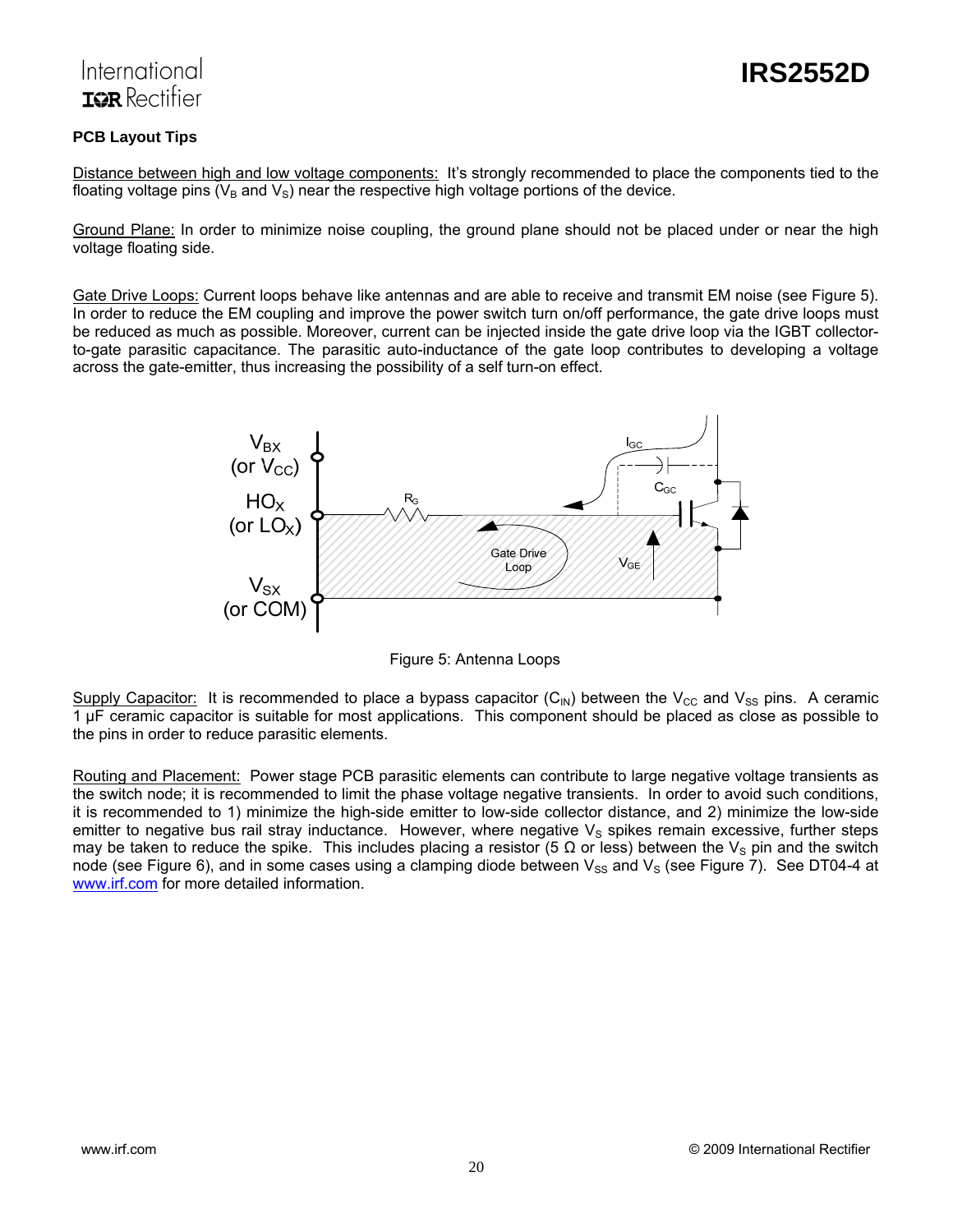# International TOR Rectifier

#### **PCB Layout Tips**

Distance between high and low voltage components: It's strongly recommended to place the components tied to the floating voltage pins  $(V_B$  and  $V_S)$  near the respective high voltage portions of the device.

Ground Plane: In order to minimize noise coupling, the ground plane should not be placed under or near the high voltage floating side.

Gate Drive Loops: Current loops behave like antennas and are able to receive and transmit EM noise (see Figure 5). In order to reduce the EM coupling and improve the power switch turn on/off performance, the gate drive loops must be reduced as much as possible. Moreover, current can be injected inside the gate drive loop via the IGBT collectorto-gate parasitic capacitance. The parasitic auto-inductance of the gate loop contributes to developing a voltage across the gate-emitter, thus increasing the possibility of a self turn-on effect.



Figure 5: Antenna Loops

Supply Capacitor: It is recommended to place a bypass capacitor (C<sub>IN</sub>) between the V<sub>CC</sub> and V<sub>SS</sub> pins. A ceramic 1 μF ceramic capacitor is suitable for most applications. This component should be placed as close as possible to the pins in order to reduce parasitic elements.

Routing and Placement: Power stage PCB parasitic elements can contribute to large negative voltage transients as the switch node; it is recommended to limit the phase voltage negative transients. In order to avoid such conditions, it is recommended to 1) minimize the high-side emitter to low-side collector distance, and 2) minimize the low-side emitter to negative bus rail stray inductance. However, where negative  $V_s$  spikes remain excessive, further steps may be taken to reduce the spike. This includes placing a resistor (5  $\Omega$  or less) between the V<sub>S</sub> pin and the switch node (see Figure 6), and in some cases using a clamping diode between  $V_{SS}$  and  $V_{S}$  (see Figure 7). See DT04-4 at www.irf.com for more detailed information.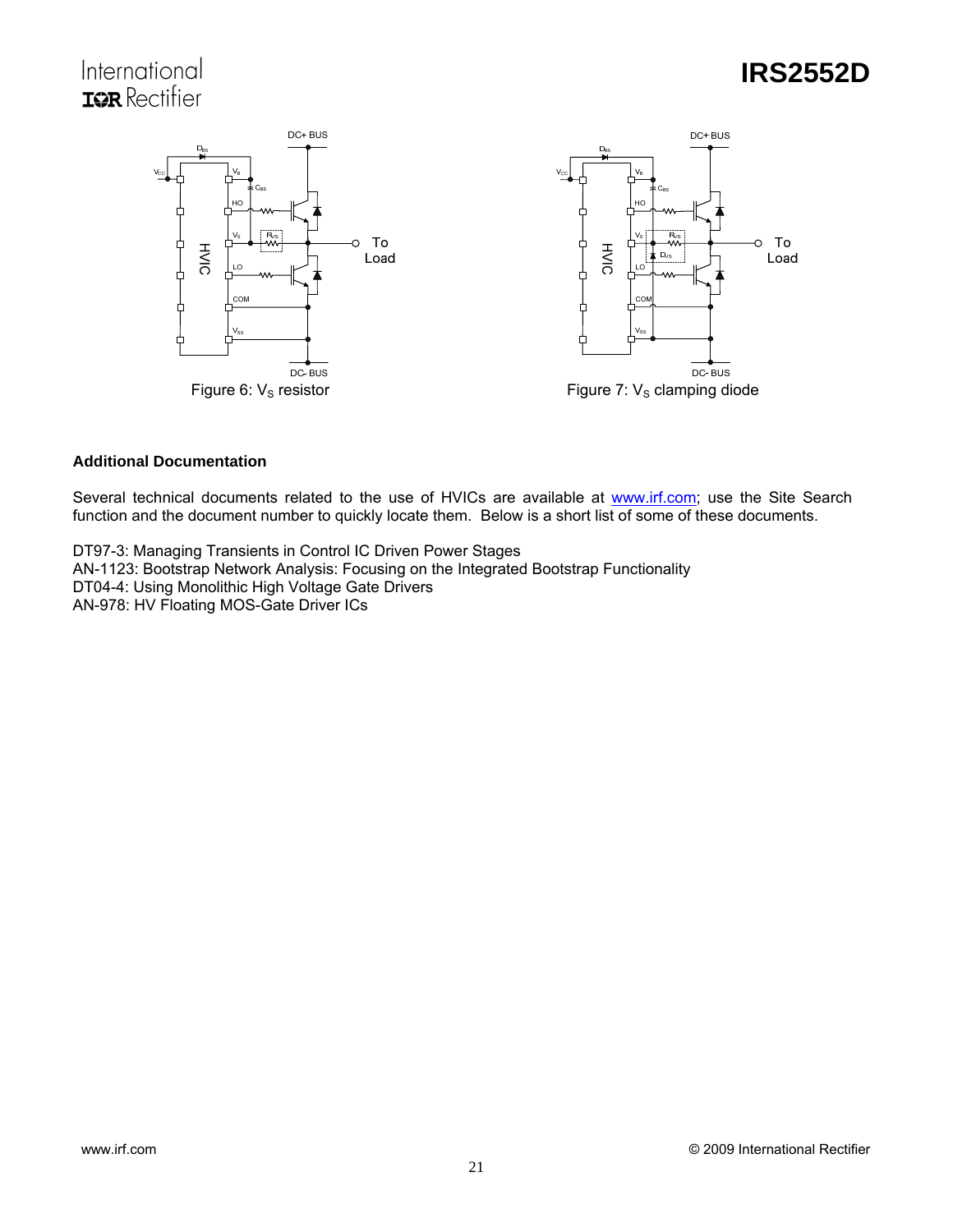# International **IOR** Rectifier

# **IRS2552D**



#### **Additional Documentation**

Several technical documents related to the use of HVICs are available at www.irf.com; use the Site Search function and the document number to quickly locate them. Below is a short list of some of these documents.

DT97-3: Managing Transients in Control IC Driven Power Stages AN-1123: Bootstrap Network Analysis: Focusing on the Integrated Bootstrap Functionality DT04-4: Using Monolithic High Voltage Gate Drivers AN-978: HV Floating MOS-Gate Driver ICs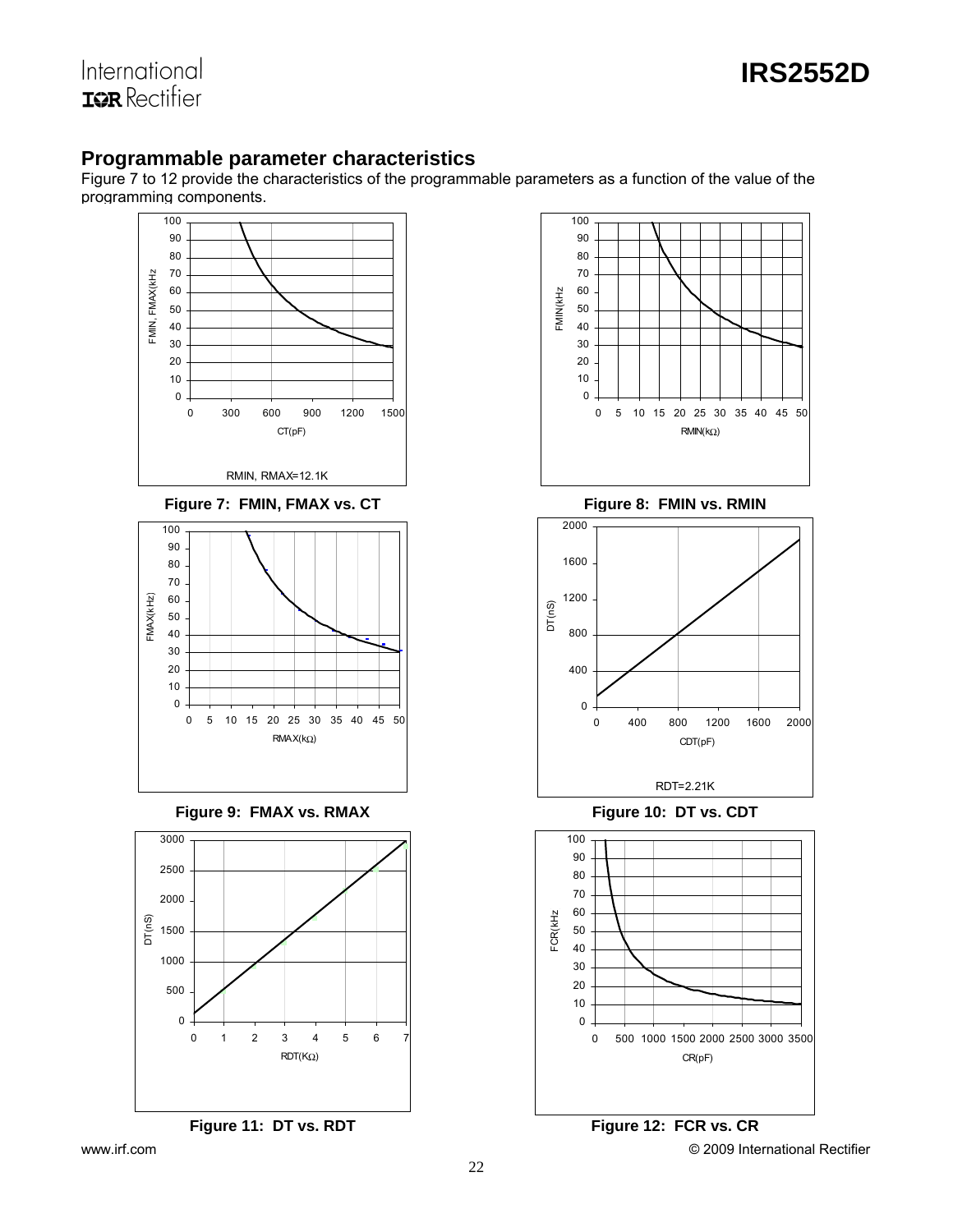

International **ISR** Rectifier

## **Programmable parameter characteristics**

Figure 7 to 12 provide the characteristics of the programmable parameters as a function of the value of the programming components.





RDT=2.21K

0 400 800 1200 1600 2000 CDT(pF)



www.irf.com **Example 2009** International Rectifier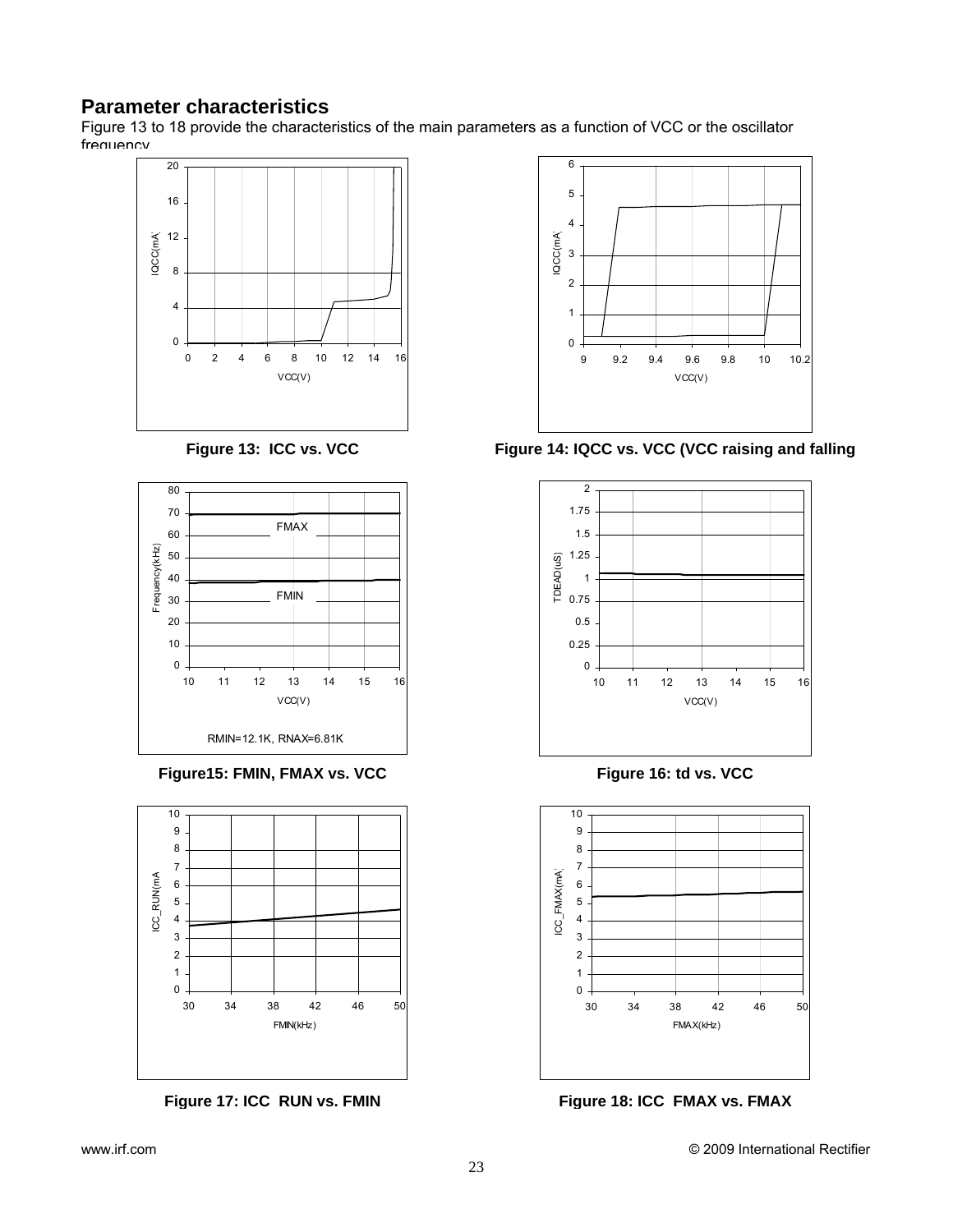# **Parameter characteristics**

Figure 13 to 18 provide the characteristics of the main parameters as a function of VCC or the oscillator frequency





Figure15: FMIN, FMAX vs. VCC Figure 16: td vs. VCC





Figure 13: ICC vs. VCC Figure 14: IQCC vs. VCC (VCC raising and falling





Figure 17: ICC RUN vs. FMIN Figure 18: ICC FMAX vs. FMAX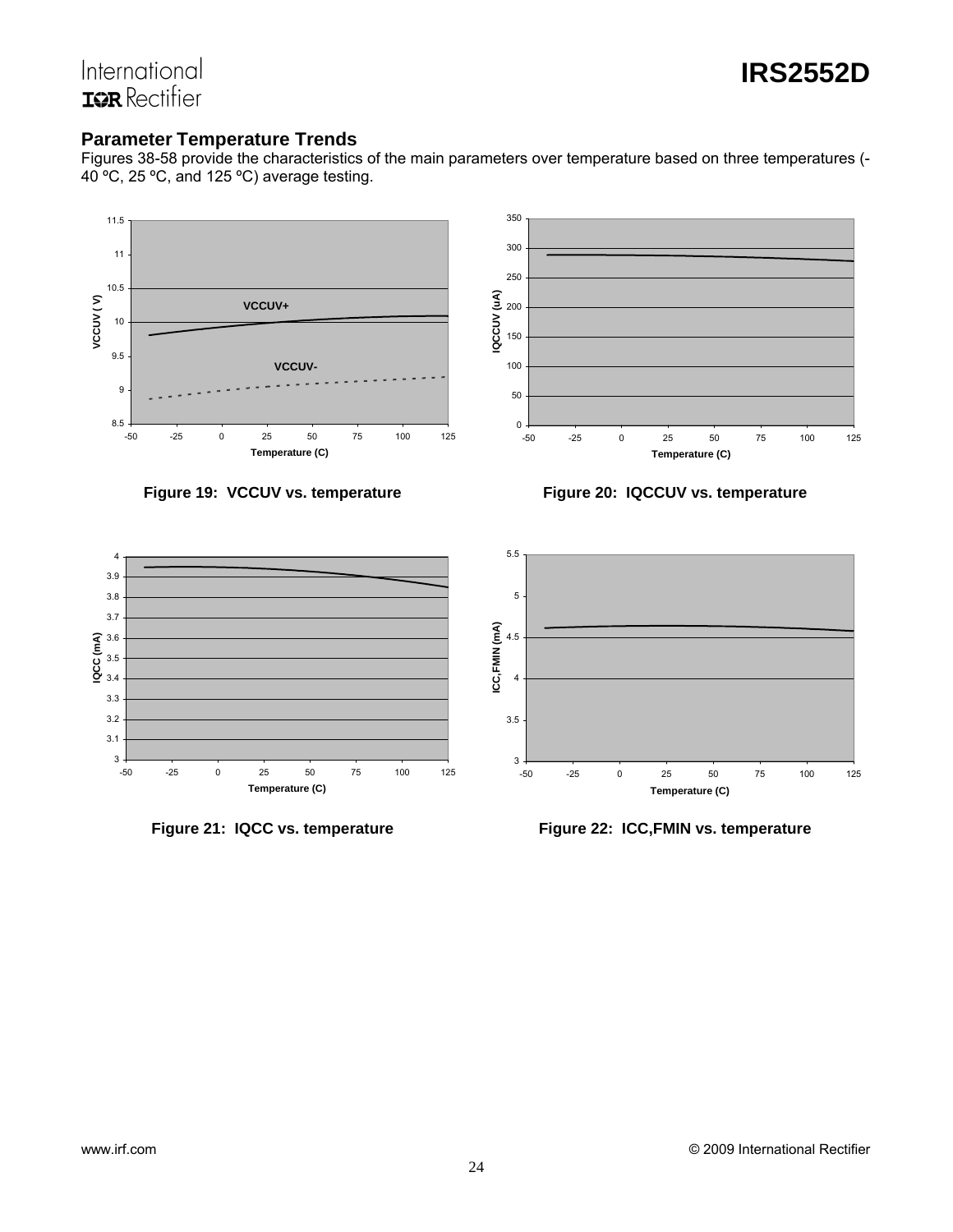

# International **ISR** Rectifier

## **Parameter Temperature Trends**

Figures 38-58 provide the characteristics of the main parameters over temperature based on three temperatures (- 40 ºC, 25 ºC, and 125 ºC) average testing.





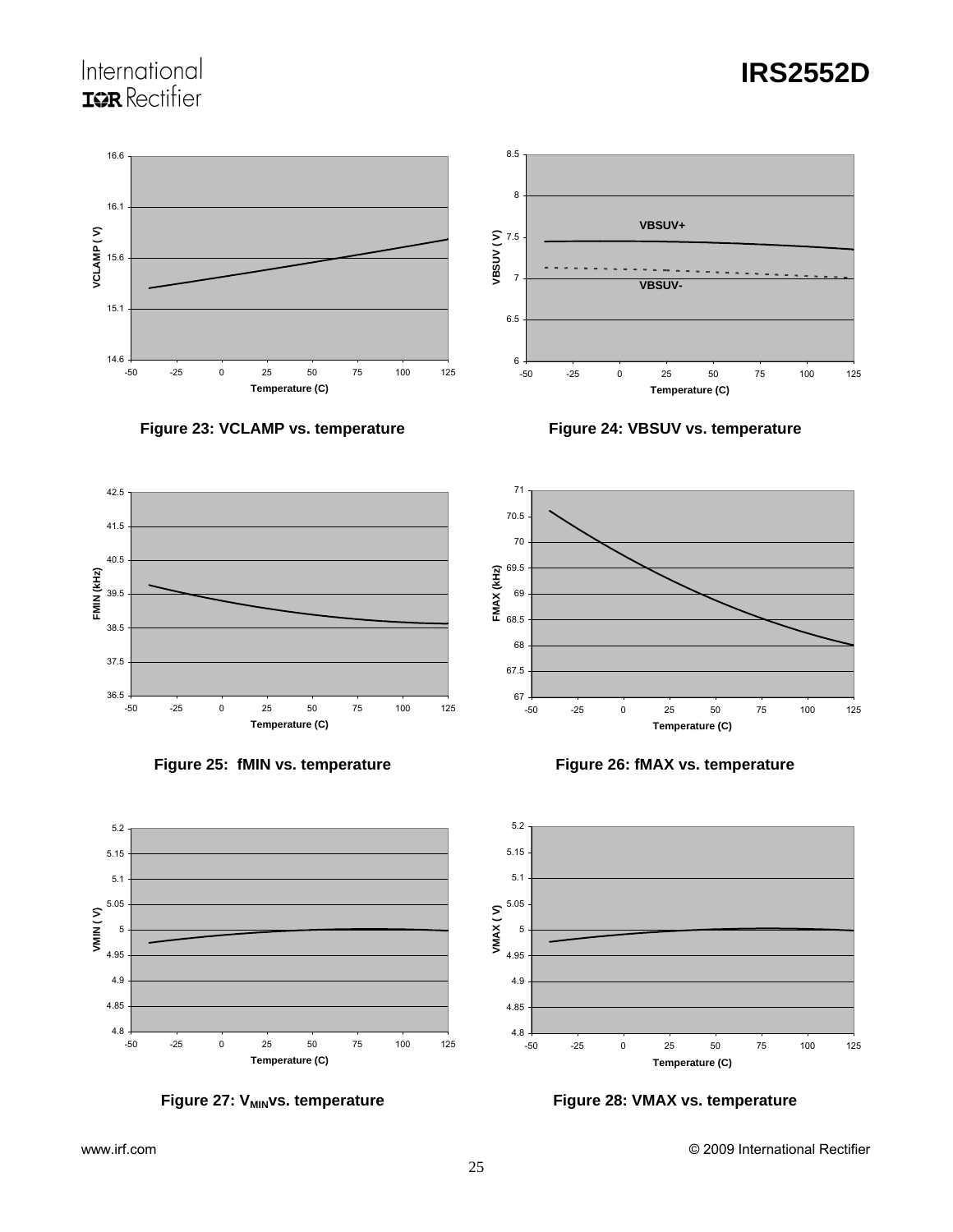# International **IOR** Rectifier



**Figure 23: VCLAMP vs. temperature Figure 24: VBSUV vs. temperature** 











**Temperature (C)**



**IRS2552D**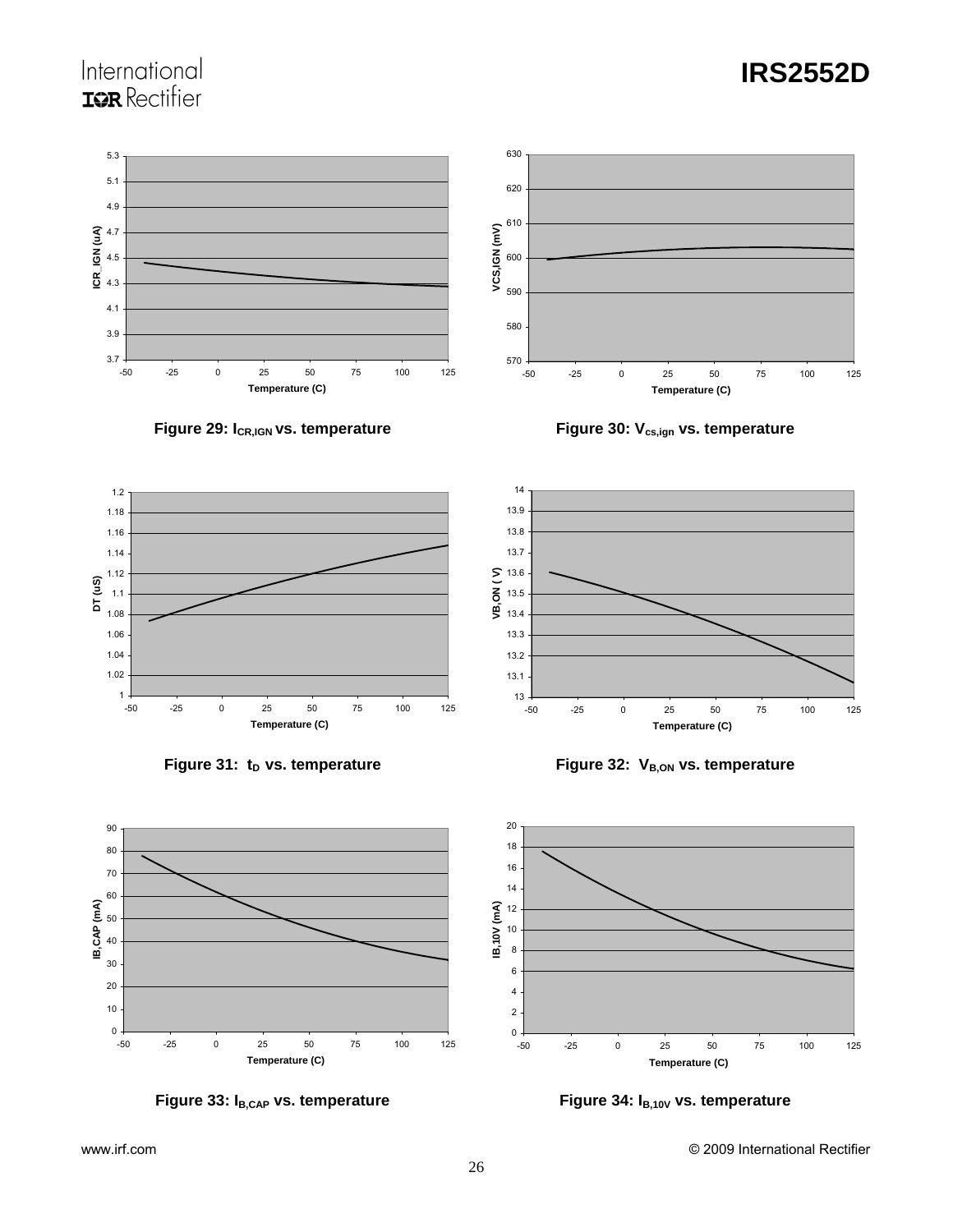# International **IQR** Rectifier



14













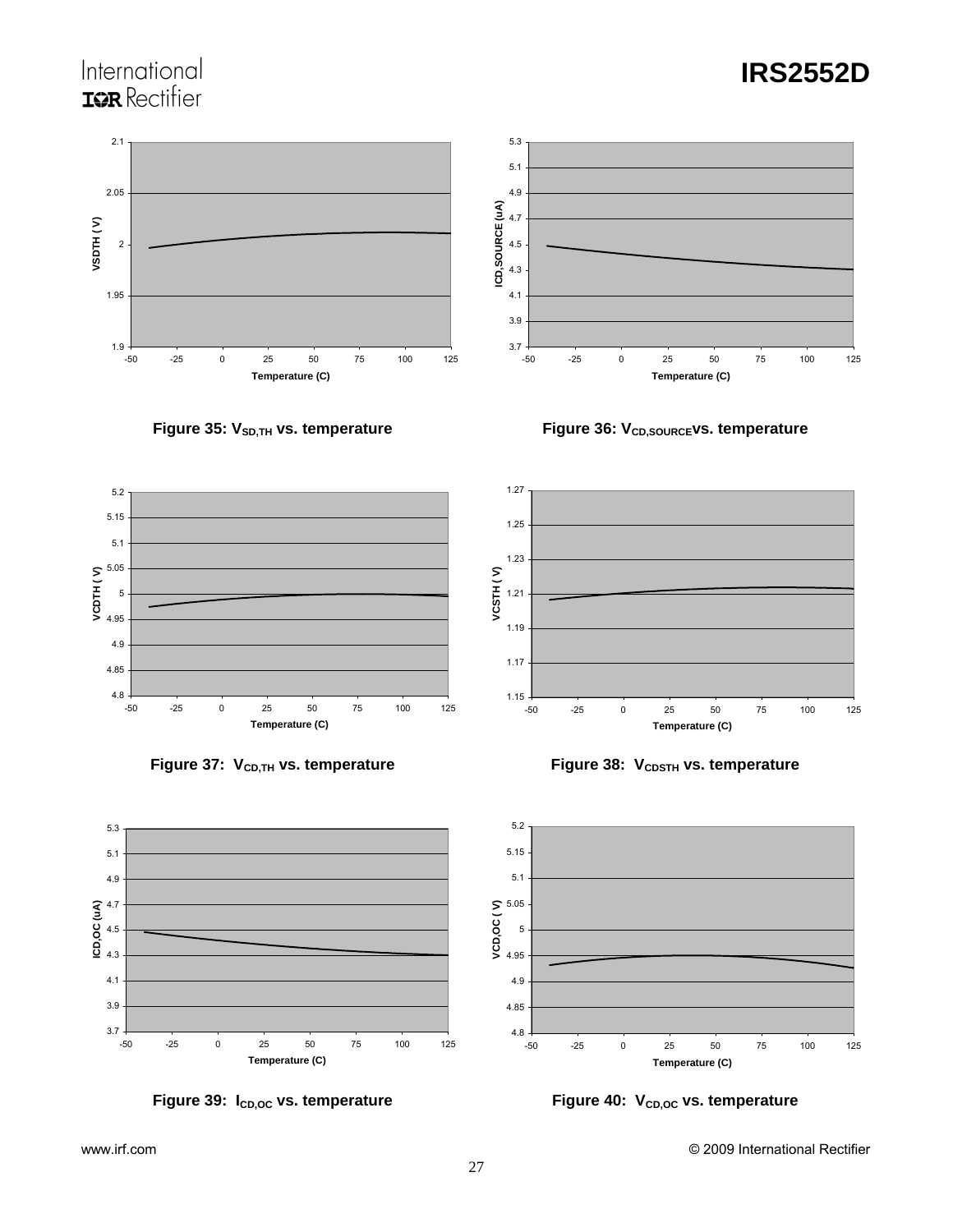# International **IOR** Rectifier





Figure 35: V<sub>SD,TH</sub> vs. temperature **Figure 36: V<sub>CD,SOURCE</sub>vs. temperature** 

![](_page_26_Figure_6.jpeg)

![](_page_26_Figure_7.jpeg)

![](_page_26_Figure_8.jpeg)

![](_page_26_Figure_9.jpeg)

![](_page_26_Figure_10.jpeg)

![](_page_26_Figure_12.jpeg)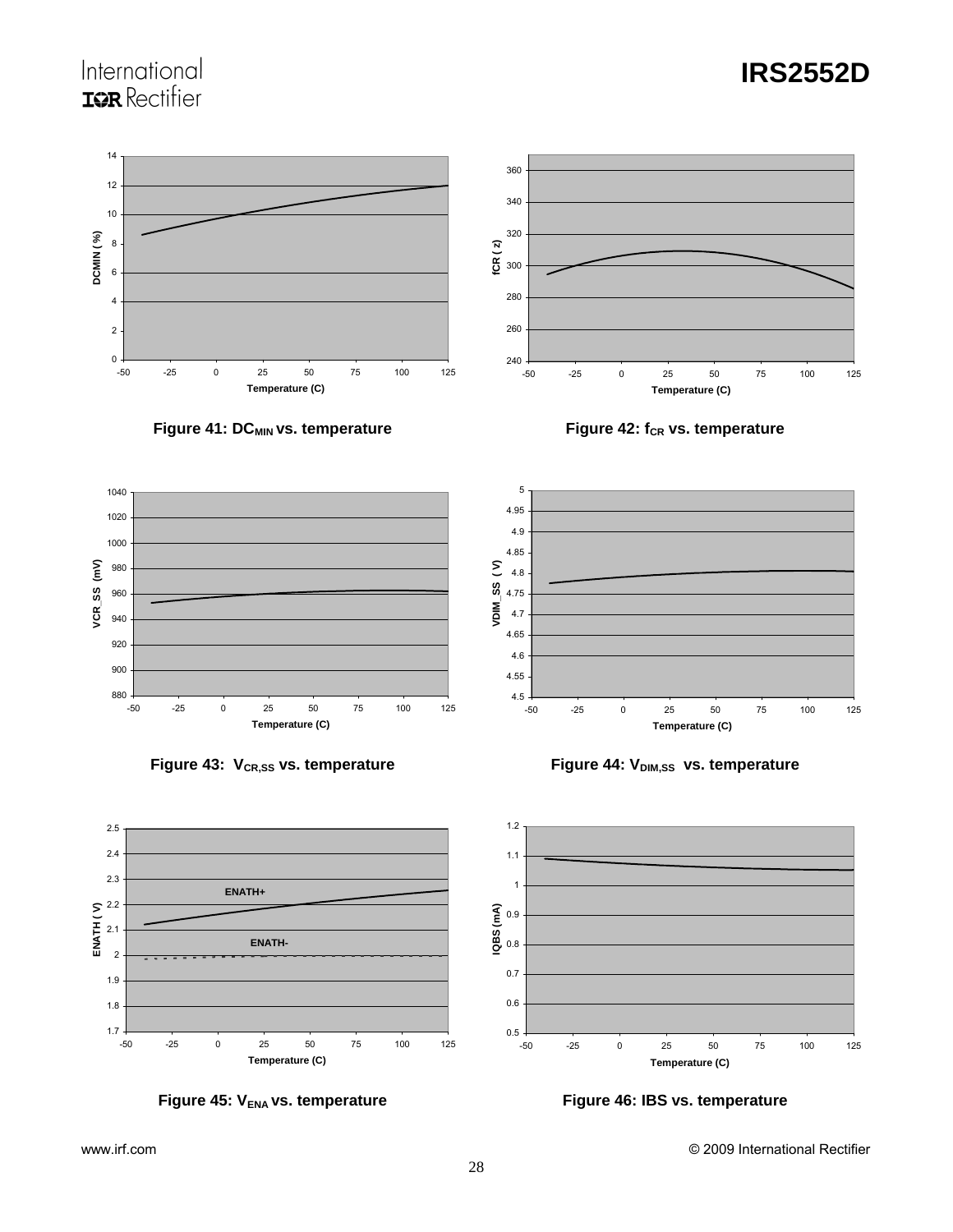# International **IOR** Rectifier

![](_page_27_Figure_2.jpeg)

**Figure 41: DC<sub>MIN</sub> vs. temperature <b>Figure 42: f**cR vs. temperature

![](_page_27_Figure_4.jpeg)

5

![](_page_27_Figure_6.jpeg)

![](_page_27_Figure_7.jpeg)

![](_page_27_Figure_8.jpeg)

![](_page_27_Figure_9.jpeg)

4.95 4.9 4.85 VDIM\_SS (V) **VDIM\_SS ( V)** 4.8 4.75 4.7 4.65 4.6 4.55  $4.5 +$ <br> $-50$ -50 -25 0 25 50 75 100 125 **Temperature (C)**

![](_page_27_Figure_11.jpeg)

![](_page_27_Figure_12.jpeg)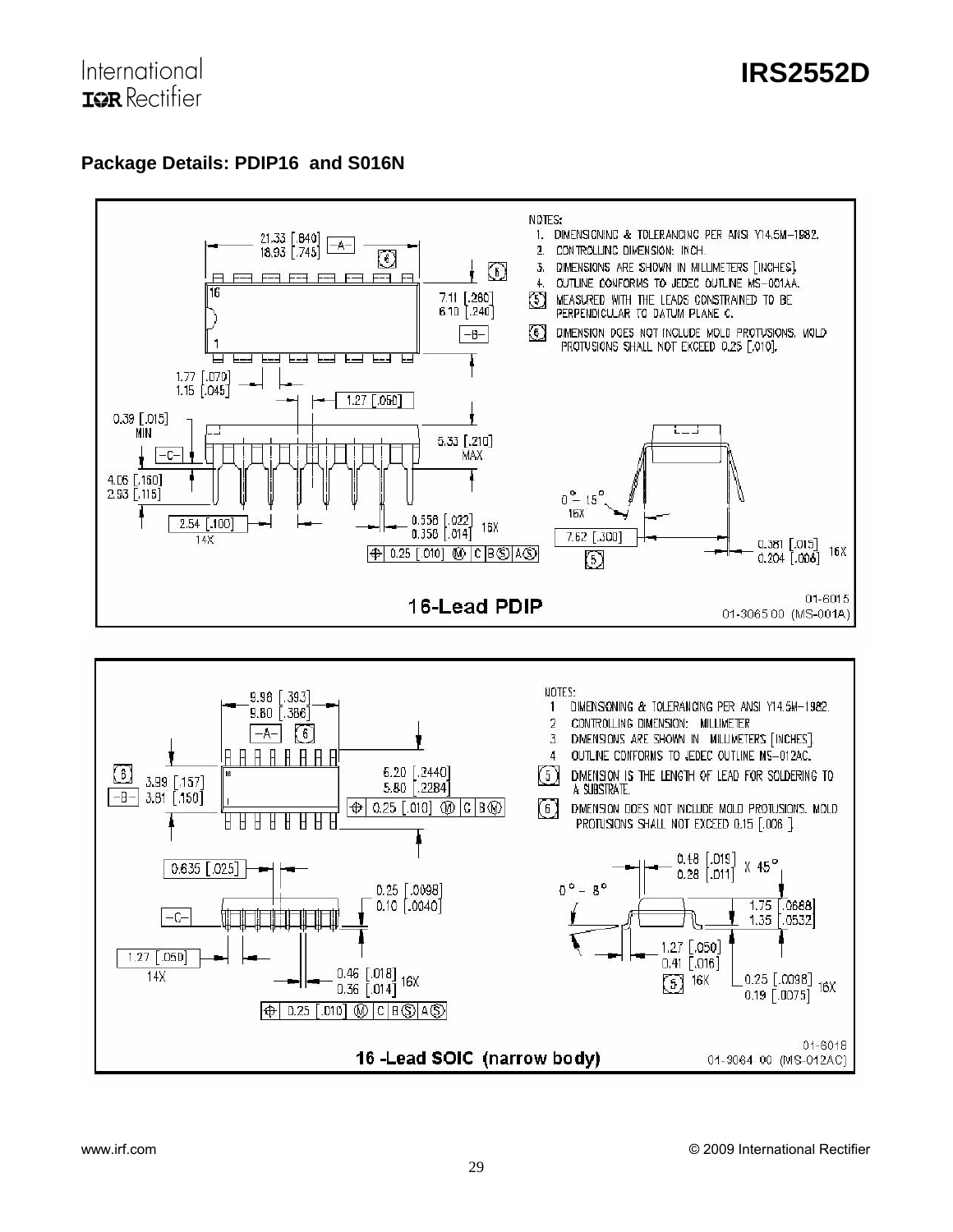## **Package Details: PDIP16 and S016N**

![](_page_28_Figure_3.jpeg)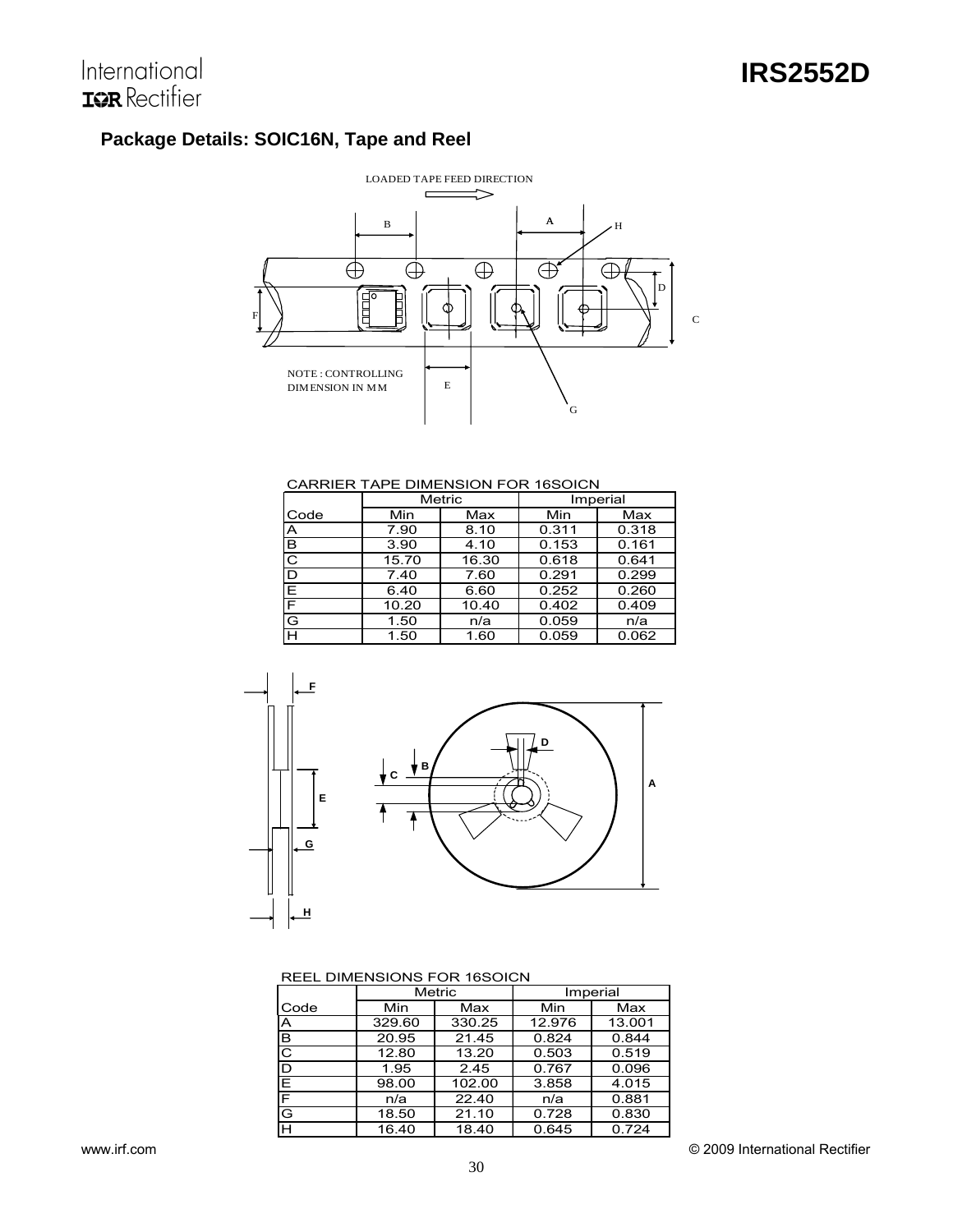# **Package Details: SOIC16N, Tape and Reel**

![](_page_29_Figure_3.jpeg)

#### CARRIER TAPE DIMENSION FOR 16SOICN

|      |       | Metric<br>Imperial |       |       |
|------|-------|--------------------|-------|-------|
| Code | Min   | Max                | Min   | Max   |
| A    | 7.90  | 8.10               | 0.311 | 0.318 |
| в    | 3.90  | 4.10               | 0.153 | 0.161 |
| C    | 15.70 | 16.30              | 0.618 | 0.641 |
| D    | 7.40  | 7.60               | 0.291 | 0.299 |
| Е    | 6.40  | 6.60               | 0.252 | 0.260 |
| F    | 10.20 | 10.40              | 0.402 | 0.409 |
| G    | 1.50  | n/a                | 0.059 | n/a   |
| н    | 1.50  | 1.60               | 0.059 | 0.062 |

![](_page_29_Figure_6.jpeg)

#### REEL DIMENSIONS FOR 16SOICN

|                         | Metric |        | Imperial |        |
|-------------------------|--------|--------|----------|--------|
| Code                    | Min    | Max    | Min      | Max    |
| $\overline{\mathsf{A}}$ | 329.60 | 330.25 | 12.976   | 13.001 |
| B                       | 20.95  | 21.45  | 0.824    | 0.844  |
| $\overline{\text{c}}$   | 12.80  | 13.20  | 0.503    | 0.519  |
| D                       | 1.95   | 2.45   | 0.767    | 0.096  |
| E                       | 98.00  | 102.00 | 3.858    | 4.015  |
| $\overline{\mathsf{E}}$ | n/a    | 22.40  | n/a      | 0.881  |
| G                       | 18.50  | 21.10  | 0.728    | 0.830  |
| F                       | 16.40  | 18.40  | 0.645    | 0.724  |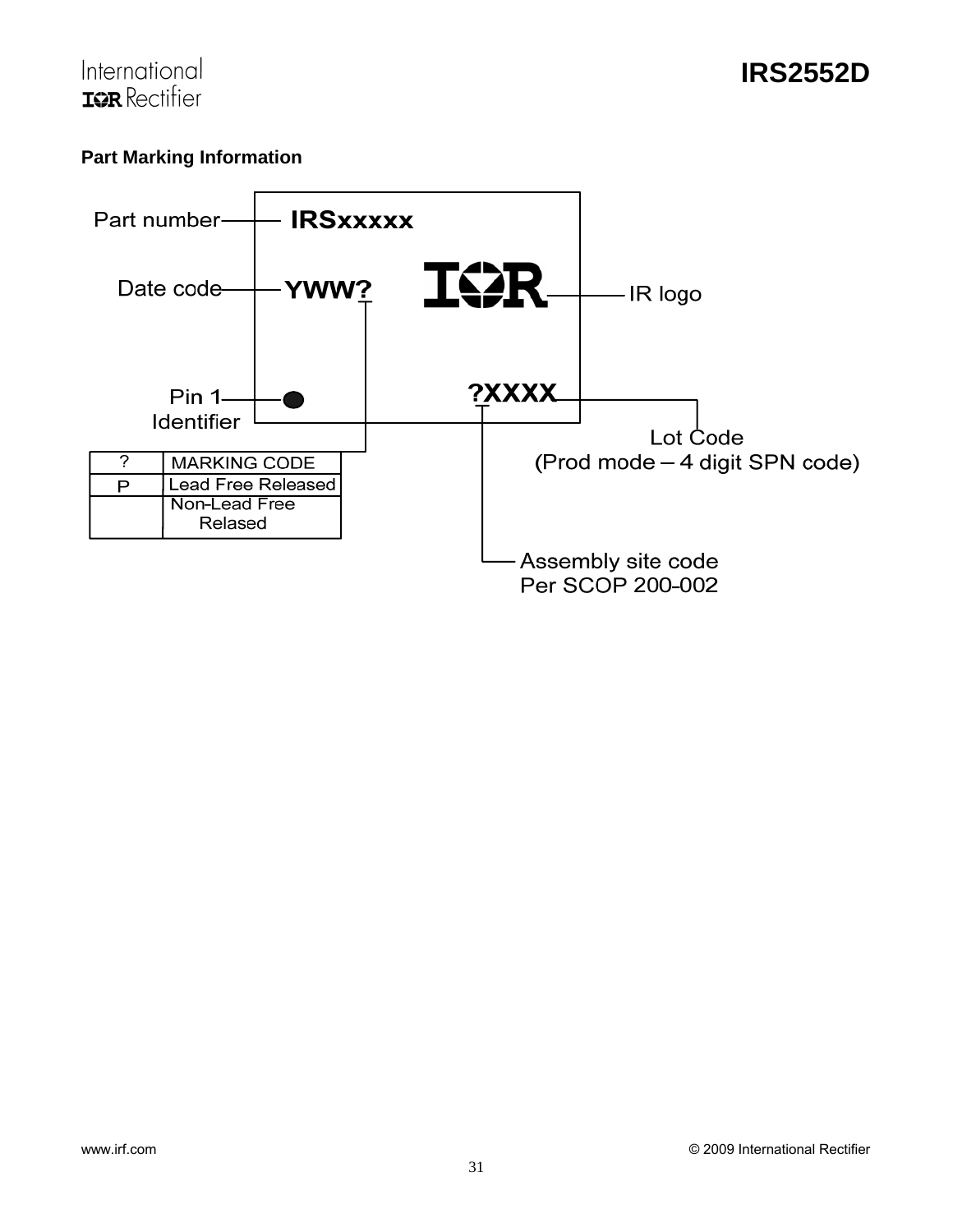![](_page_30_Picture_0.jpeg)

# **Part Marking Information**

![](_page_30_Figure_3.jpeg)